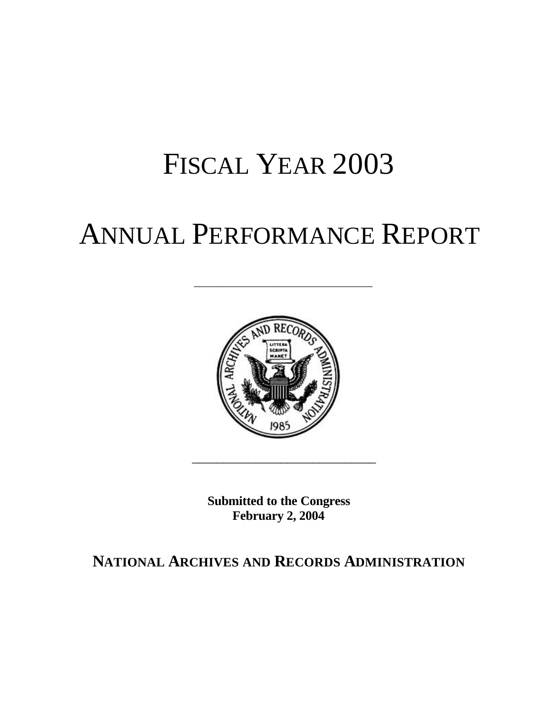# FISCAL YEAR 2003

# ANNUAL PERFORMANCE REPORT

\_\_\_\_\_\_\_\_\_\_\_\_\_\_\_\_\_\_\_\_\_\_\_\_\_\_\_\_\_\_\_\_\_



**Submitted to the Congress February 2, 2004** 

 $\frac{1}{2}$  ,  $\frac{1}{2}$  ,  $\frac{1}{2}$  ,  $\frac{1}{2}$  ,  $\frac{1}{2}$  ,  $\frac{1}{2}$  ,  $\frac{1}{2}$  ,  $\frac{1}{2}$  ,  $\frac{1}{2}$  ,  $\frac{1}{2}$  ,  $\frac{1}{2}$  ,  $\frac{1}{2}$  ,  $\frac{1}{2}$  ,  $\frac{1}{2}$  ,  $\frac{1}{2}$  ,  $\frac{1}{2}$  ,  $\frac{1}{2}$  ,  $\frac{1}{2}$  ,  $\frac{1$ 

### **NATIONAL ARCHIVES AND RECORDS ADMINISTRATION**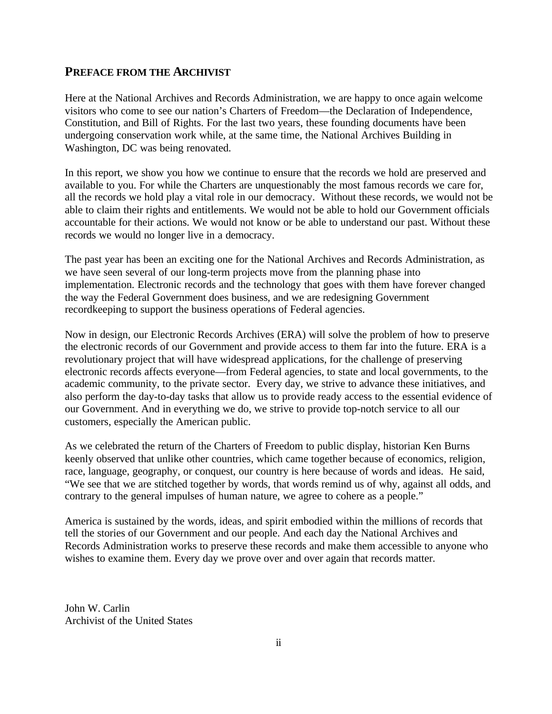#### **PREFACE FROM THE ARCHIVIST**

Here at the National Archives and Records Administration, we are happy to once again welcome visitors who come to see our nation's Charters of Freedom—the Declaration of Independence, Constitution, and Bill of Rights. For the last two years, these founding documents have been undergoing conservation work while, at the same time, the National Archives Building in Washington, DC was being renovated.

In this report, we show you how we continue to ensure that the records we hold are preserved and available to you. For while the Charters are unquestionably the most famous records we care for, all the records we hold play a vital role in our democracy. Without these records, we would not be able to claim their rights and entitlements. We would not be able to hold our Government officials accountable for their actions. We would not know or be able to understand our past. Without these records we would no longer live in a democracy.

The past year has been an exciting one for the National Archives and Records Administration, as we have seen several of our long-term projects move from the planning phase into implementation. Electronic records and the technology that goes with them have forever changed the way the Federal Government does business, and we are redesigning Government recordkeeping to support the business operations of Federal agencies.

Now in design, our Electronic Records Archives (ERA) will solve the problem of how to preserve the electronic records of our Government and provide access to them far into the future. ERA is a revolutionary project that will have widespread applications, for the challenge of preserving electronic records affects everyone—from Federal agencies, to state and local governments, to the academic community, to the private sector. Every day, we strive to advance these initiatives, and also perform the day-to-day tasks that allow us to provide ready access to the essential evidence of our Government. And in everything we do, we strive to provide top-notch service to all our customers, especially the American public.

As we celebrated the return of the Charters of Freedom to public display, historian Ken Burns keenly observed that unlike other countries, which came together because of economics, religion, race, language, geography, or conquest, our country is here because of words and ideas. He said, "We see that we are stitched together by words, that words remind us of why, against all odds, and contrary to the general impulses of human nature, we agree to cohere as a people."

America is sustained by the words, ideas, and spirit embodied within the millions of records that tell the stories of our Government and our people. And each day the National Archives and Records Administration works to preserve these records and make them accessible to anyone who wishes to examine them. Every day we prove over and over again that records matter.

John W. Carlin Archivist of the United States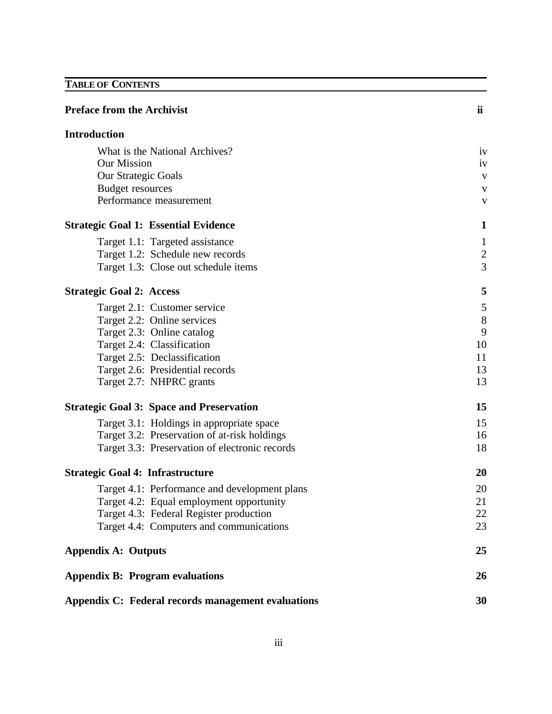### **TABLE OF CONTENTS**

| <b>Preface from the Archivist</b>                  | ii           |
|----------------------------------------------------|--------------|
| <b>Introduction</b>                                |              |
| What is the National Archives?                     | iv           |
| <b>Our Mission</b>                                 | iv           |
| <b>Our Strategic Goals</b>                         | V            |
| <b>Budget resources</b>                            | V            |
| Performance measurement                            | V            |
| <b>Strategic Goal 1: Essential Evidence</b>        | 1            |
| Target 1.1: Targeted assistance                    | $\mathbf{1}$ |
| Target 1.2: Schedule new records                   | $\mathbf{2}$ |
| Target 1.3: Close out schedule items               | 3            |
| <b>Strategic Goal 2: Access</b>                    | 5            |
| Target 2.1: Customer service                       | 5            |
| Target 2.2: Online services                        | 8            |
| Target 2.3: Online catalog                         | 9            |
| Target 2.4: Classification                         | 10           |
| Target 2.5: Declassification                       | 11           |
| Target 2.6: Presidential records                   | 13           |
| Target 2.7: NHPRC grants                           | 13           |
| <b>Strategic Goal 3: Space and Preservation</b>    | 15           |
| Target 3.1: Holdings in appropriate space          | 15           |
| Target 3.2: Preservation of at-risk holdings       | 16           |
| Target 3.3: Preservation of electronic records     | 18           |
| <b>Strategic Goal 4: Infrastructure</b>            | 20           |
| Target 4.1: Performance and development plans      | 20           |
| Target 4.2: Equal employment opportunity           | 21           |
| Target 4.3: Federal Register production            | 22           |
| Target 4.4: Computers and communications           | 23           |
| <b>Appendix A: Outputs</b>                         | 25           |
| <b>Appendix B: Program evaluations</b>             | 26           |
| Appendix C: Federal records management evaluations | 30           |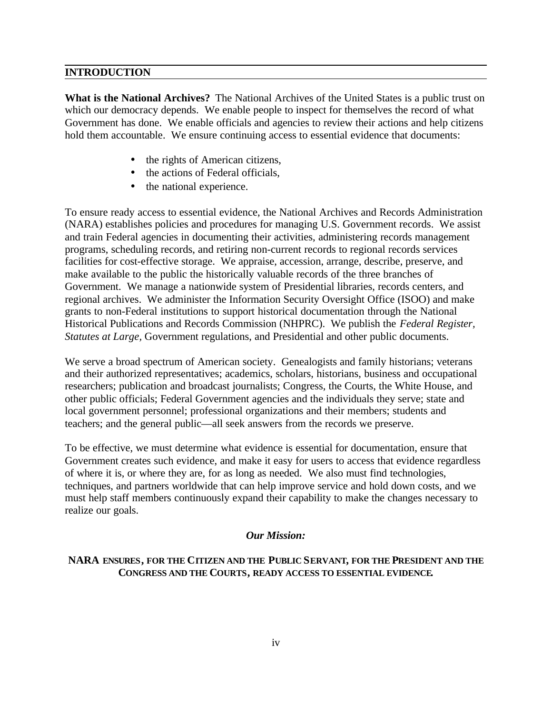#### **INTRODUCTION**

**What is the National Archives?** The National Archives of the United States is a public trust on which our democracy depends. We enable people to inspect for themselves the record of what Government has done. We enable officials and agencies to review their actions and help citizens hold them accountable. We ensure continuing access to essential evidence that documents:

- the rights of American citizens,
- the actions of Federal officials,
- the national experience.

To ensure ready access to essential evidence, the National Archives and Records Administration (NARA) establishes policies and procedures for managing U.S. Government records. We assist and train Federal agencies in documenting their activities, administering records management programs, scheduling records, and retiring non-current records to regional records services facilities for cost-effective storage. We appraise, accession, arrange, describe, preserve, and make available to the public the historically valuable records of the three branches of Government. We manage a nationwide system of Presidential libraries, records centers, and regional archives. We administer the Information Security Oversight Office (ISOO) and make grants to non-Federal institutions to support historical documentation through the National Historical Publications and Records Commission (NHPRC). We publish the *Federal Register, Statutes at Large,* Government regulations, and Presidential and other public documents.

We serve a broad spectrum of American society. Genealogists and family historians; veterans and their authorized representatives; academics, scholars, historians, business and occupational researchers; publication and broadcast journalists; Congress, the Courts, the White House, and other public officials; Federal Government agencies and the individuals they serve; state and local government personnel; professional organizations and their members; students and teachers; and the general public—all seek answers from the records we preserve.

To be effective, we must determine what evidence is essential for documentation, ensure that Government creates such evidence, and make it easy for users to access that evidence regardless of where it is, or where they are, for as long as needed. We also must find technologies, techniques, and partners worldwide that can help improve service and hold down costs, and we must help staff members continuously expand their capability to make the changes necessary to realize our goals.

#### *Our Mission:*

#### **NARA ENSURES, FOR THE CITIZEN AND THE PUBLIC SERVANT, FOR THE PRESIDENT AND THE CONGRESS AND THE COURTS, READY ACCESS TO ESSENTIAL EVIDENCE.**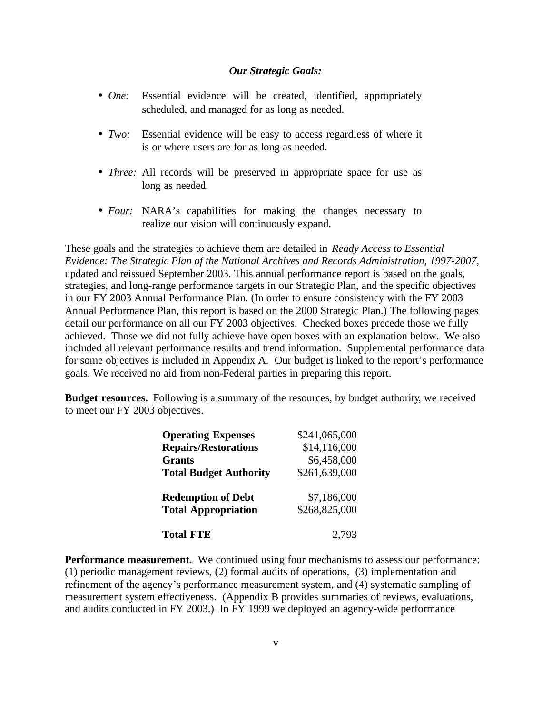#### *Our Strategic Goals:*

- *• One:* Essential evidence will be created, identified, appropriately scheduled, and managed for as long as needed.
- *• Two:* Essential evidence will be easy to access regardless of where it is or where users are for as long as needed.
- *• Three:* All records will be preserved in appropriate space for use as long as needed.
- *• Four:* NARA's capabilities for making the changes necessary to realize our vision will continuously expand.

These goals and the strategies to achieve them are detailed in *Ready Access to Essential Evidence: The Strategic Plan of the National Archives and Records Administration, 1997-2007*, updated and reissued September 2003. This annual performance report is based on the goals, strategies, and long-range performance targets in our Strategic Plan, and the specific objectives in our FY 2003 Annual Performance Plan. (In order to ensure consistency with the FY 2003 Annual Performance Plan, this report is based on the 2000 Strategic Plan.) The following pages detail our performance on all our FY 2003 objectives. Checked boxes precede those we fully achieved. Those we did not fully achieve have open boxes with an explanation below. We also included all relevant performance results and trend information. Supplemental performance data for some objectives is included in Appendix A. Our budget is linked to the report's performance goals. We received no aid from non-Federal parties in preparing this report.

**Budget resources.** Following is a summary of the resources, by budget authority, we received to meet our FY 2003 objectives.

| <b>Operating Expenses</b>     | \$241,065,000 |
|-------------------------------|---------------|
| <b>Repairs/Restorations</b>   | \$14,116,000  |
| <b>Grants</b>                 | \$6,458,000   |
| <b>Total Budget Authority</b> | \$261,639,000 |
| <b>Redemption of Debt</b>     | \$7,186,000   |
| <b>Total Appropriation</b>    | \$268,825,000 |
| <b>Total FTE</b>              | 2,793         |

**Performance measurement.** We continued using four mechanisms to assess our performance: (1) periodic management reviews, (2) formal audits of operations, (3) implementation and refinement of the agency's performance measurement system, and (4) systematic sampling of measurement system effectiveness. (Appendix B provides summaries of reviews, evaluations, and audits conducted in FY 2003.) In FY 1999 we deployed an agency-wide performance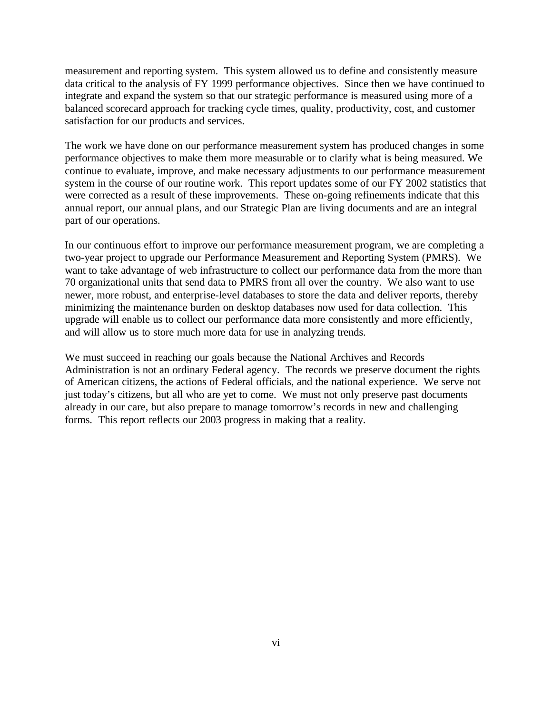measurement and reporting system. This system allowed us to define and consistently measure data critical to the analysis of FY 1999 performance objectives. Since then we have continued to integrate and expand the system so that our strategic performance is measured using more of a balanced scorecard approach for tracking cycle times, quality, productivity, cost, and customer satisfaction for our products and services.

The work we have done on our performance measurement system has produced changes in some performance objectives to make them more measurable or to clarify what is being measured. We continue to evaluate, improve, and make necessary adjustments to our performance measurement system in the course of our routine work. This report updates some of our FY 2002 statistics that were corrected as a result of these improvements. These on-going refinements indicate that this annual report, our annual plans, and our Strategic Plan are living documents and are an integral part of our operations.

In our continuous effort to improve our performance measurement program, we are completing a two-year project to upgrade our Performance Measurement and Reporting System (PMRS). We want to take advantage of web infrastructure to collect our performance data from the more than 70 organizational units that send data to PMRS from all over the country. We also want to use newer, more robust, and enterprise-level databases to store the data and deliver reports, thereby minimizing the maintenance burden on desktop databases now used for data collection. This upgrade will enable us to collect our performance data more consistently and more efficiently, and will allow us to store much more data for use in analyzing trends.

We must succeed in reaching our goals because the National Archives and Records Administration is not an ordinary Federal agency. The records we preserve document the rights of American citizens, the actions of Federal officials, and the national experience. We serve not just today's citizens, but all who are yet to come. We must not only preserve past documents already in our care, but also prepare to manage tomorrow's records in new and challenging forms. This report reflects our 2003 progress in making that a reality.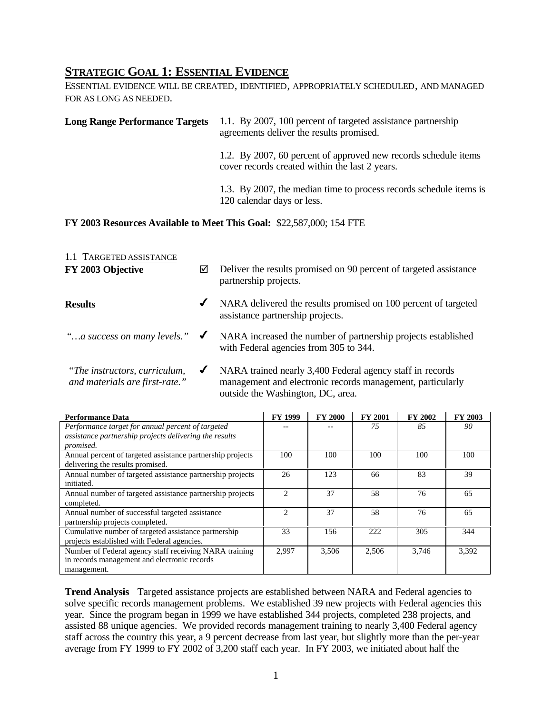#### **STRATEGIC GOAL 1: ESSENTIAL EVIDENCE**

ESSENTIAL EVIDENCE WILL BE CREATED, IDENTIFIED, APPROPRIATELY SCHEDULED, AND MANAGED FOR AS LONG AS NEEDED.

| <b>Long Range Performance Targets</b> | 1.1. By 2007, 100 percent of targeted assistance partnership<br>agreements deliver the results promised.          |
|---------------------------------------|-------------------------------------------------------------------------------------------------------------------|
|                                       | 1.2. By 2007, 60 percent of approved new records schedule items<br>cover records created within the last 2 years. |
|                                       | 1.3. By 2007, the median time to process records schedule items is<br>120 calendar days or less.                  |

#### **FY 2003 Resources Available to Meet This Goal:** \$22,587,000; 154 FTE

| 1.1 TARGETED ASSISTANCE<br>FY 2003 Objective                    | ⊠            | Deliver the results promised on 90 percent of targeted assistance<br>partnership projects.                                                                   |
|-----------------------------------------------------------------|--------------|--------------------------------------------------------------------------------------------------------------------------------------------------------------|
| <b>Results</b>                                                  | ✔            | NARA delivered the results promised on 100 percent of targeted<br>assistance partnership projects.                                                           |
| "a success on many levels."                                     | $\checkmark$ | NARA increased the number of partnership projects established<br>with Federal agencies from 305 to 344.                                                      |
| "The instructors, curriculum,<br>and materials are first-rate." | ✔            | NARA trained nearly 3,400 Federal agency staff in records<br>management and electronic records management, particularly<br>outside the Washington, DC, area. |

| <b>Performance Data</b>                                    | <b>FY 1999</b> | <b>FY 2000</b> | <b>FY 2001</b> | <b>FY 2002</b> | FY 2003 |
|------------------------------------------------------------|----------------|----------------|----------------|----------------|---------|
| Performance target for annual percent of targeted          |                |                | 75             | 85             | 90      |
| assistance partnership projects delivering the results     |                |                |                |                |         |
| promised.                                                  |                |                |                |                |         |
| Annual percent of targeted assistance partnership projects | 100            | 100            | 100            | 100            | 100     |
| delivering the results promised.                           |                |                |                |                |         |
| Annual number of targeted assistance partnership projects  | 26             | 123            | 66             | 83             | 39      |
| initiated.                                                 |                |                |                |                |         |
| Annual number of targeted assistance partnership projects  | っ              | 37             | 58             | 76             | 65      |
| completed.                                                 |                |                |                |                |         |
| Annual number of successful targeted assistance            | っ              | 37             | 58             | 76             | 65      |
| partnership projects completed.                            |                |                |                |                |         |
| Cumulative number of targeted assistance partnership       | 33             | 156            | 222            | 305            | 344     |
| projects established with Federal agencies.                |                |                |                |                |         |
| Number of Federal agency staff receiving NARA training     | 2.997          | 3,506          | 2,506          | 3.746          | 3,392   |
| in records management and electronic records               |                |                |                |                |         |
| management.                                                |                |                |                |                |         |

**Trend Analysis** Targeted assistance projects are established between NARA and Federal agencies to solve specific records management problems. We established 39 new projects with Federal agencies this year. Since the program began in 1999 we have established 344 projects, completed 238 projects, and assisted 88 unique agencies. We provided records management training to nearly 3,400 Federal agency staff across the country this year, a 9 percent decrease from last year, but slightly more than the per-year average from FY 1999 to FY 2002 of 3,200 staff each year. In FY 2003, we initiated about half the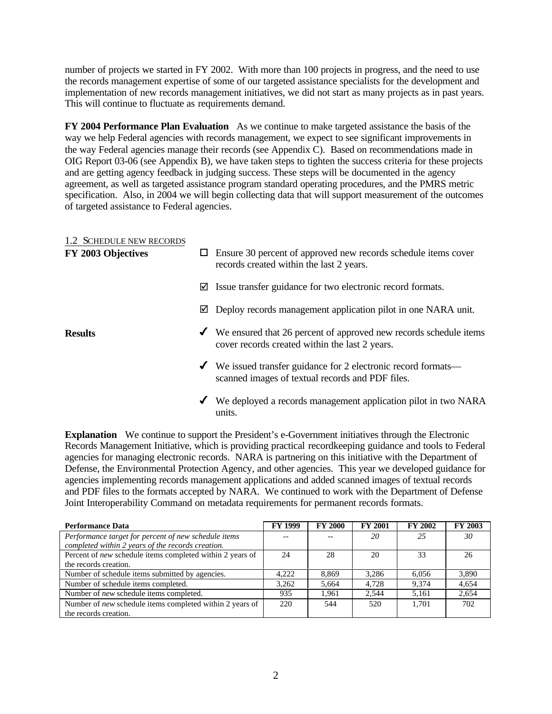number of projects we started in FY 2002. With more than 100 projects in progress, and the need to use the records management expertise of some of our targeted assistance specialists for the development and implementation of new records management initiatives, we did not start as many projects as in past years. This will continue to fluctuate as requirements demand.

**FY 2004 Performance Plan Evaluation** As we continue to make targeted assistance the basis of the way we help Federal agencies with records management, we expect to see significant improvements in the way Federal agencies manage their records (see Appendix C). Based on recommendations made in OIG Report 03-06 (see Appendix B), we have taken steps to tighten the success criteria for these projects and are getting agency feedback in judging success. These steps will be documented in the agency agreement, as well as targeted assistance program standard operating procedures, and the PMRS metric specification. Also, in 2004 we will begin collecting data that will support measurement of the outcomes of targeted assistance to Federal agencies.

| 1.2 SCHEDULE NEW RECORDS<br>FY 2003 Objectives | ш | Ensure 30 percent of approved new records schedule items cover<br>records created within the last 2 years.                             |
|------------------------------------------------|---|----------------------------------------------------------------------------------------------------------------------------------------|
|                                                | ☑ | Issue transfer guidance for two electronic record formats.                                                                             |
|                                                | ⊻ | Deploy records management application pilot in one NARA unit.                                                                          |
| <b>Results</b>                                 |   | $\checkmark$ We ensured that 26 percent of approved new records schedule items<br>cover records created within the last 2 years.       |
|                                                |   | $\blacktriangleright$ We issued transfer guidance for 2 electronic record formats—<br>scanned images of textual records and PDF files. |
|                                                | ✔ | We deployed a records management application pilot in two NARA<br>units.                                                               |

**Explanation** We continue to support the President's e-Government initiatives through the Electronic Records Management Initiative, which is providing practical recordkeeping guidance and tools to Federal agencies for managing electronic records. NARA is partnering on this initiative with the Department of Defense, the Environmental Protection Agency, and other agencies. This year we developed guidance for agencies implementing records management applications and added scanned images of textual records and PDF files to the formats accepted by NARA. We continued to work with the Department of Defense Joint Interoperability Command on metadata requirements for permanent records formats.

| <b>Performance Data</b>                                          | <b>FY 1999</b> | <b>FY 2000</b> | <b>FY 2001</b> | <b>FY 2002</b> | FY 2003 |
|------------------------------------------------------------------|----------------|----------------|----------------|----------------|---------|
| Performance target for percent of new schedule items             |                |                | 20             | 25             | 30      |
| completed within 2 years of the records creation.                |                |                |                |                |         |
| Percent of <i>new</i> schedule items completed within 2 years of | 24             | 28             | 20             | 33             |         |
| the records creation.                                            |                |                |                |                |         |
| Number of schedule items submitted by agencies.                  | 4.222          | 8.869          | 3.286          | 6.056          | 3,890   |
| Number of schedule items completed.                              | 3.262          | 5.664          | 4.728          | 9.374          | 4.654   |
| Number of new schedule items completed.                          | 935            | 1.961          | 2.544          | 5.161          | 2.654   |
| Number of <i>new</i> schedule items completed within 2 years of  | 220            | 544            | 520            | 1.701          | 702     |
| the records creation.                                            |                |                |                |                |         |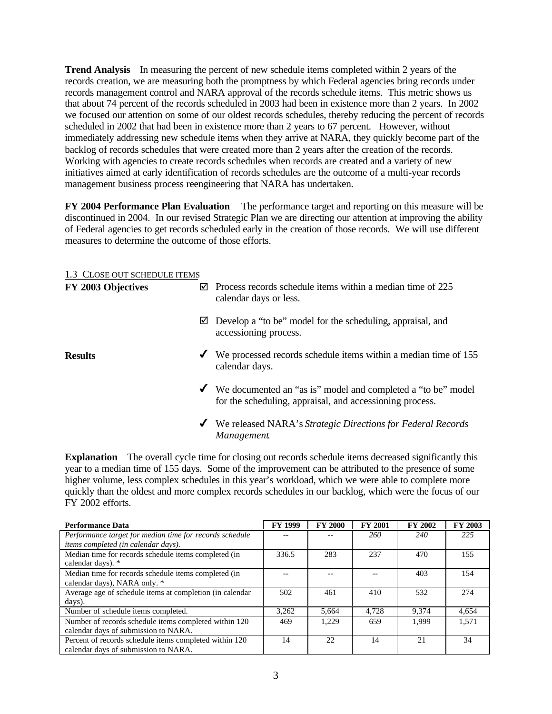**Trend Analysis** In measuring the percent of new schedule items completed within 2 years of the records creation, we are measuring both the promptness by which Federal agencies bring records under records management control and NARA approval of the records schedule items. This metric shows us that about 74 percent of the records scheduled in 2003 had been in existence more than 2 years. In 2002 we focused our attention on some of our oldest records schedules, thereby reducing the percent of records scheduled in 2002 that had been in existence more than 2 years to 67 percent. However, without immediately addressing new schedule items when they arrive at NARA, they quickly become part of the backlog of records schedules that were created more than 2 years after the creation of the records. Working with agencies to create records schedules when records are created and a variety of new initiatives aimed at early identification of records schedules are the outcome of a multi-year records management business process reengineering that NARA has undertaken.

**FY 2004 Performance Plan Evaluation** The performance target and reporting on this measure will be discontinued in 2004. In our revised Strategic Plan we are directing our attention at improving the ability of Federal agencies to get records scheduled early in the creation of those records. We will use different measures to determine the outcome of those efforts.

#### 1.3 CLOSE OUT SCHEDULE ITEMS

| FY 2003 Objectives | Process records schedule items within a median time of 225<br>ا⊽ا<br>calendar days or less.                                |
|--------------------|----------------------------------------------------------------------------------------------------------------------------|
|                    | Develop a "to be" model for the scheduling, appraisal, and<br>⊻<br>accessioning process.                                   |
| <b>Results</b>     | We processed records schedule items within a median time of 155<br>✔<br>calendar days.                                     |
|                    | ◆ We documented an "as is" model and completed a "to be" model<br>for the scheduling, appraisal, and accessioning process. |
|                    | We released NARA's Strategic Directions for Federal Records<br>$\checkmark$<br>Management.                                 |

**Explanation** The overall cycle time for closing out records schedule items decreased significantly this year to a median time of 155 days. Some of the improvement can be attributed to the presence of some higher volume, less complex schedules in this year's workload, which we were able to complete more quickly than the oldest and more complex records schedules in our backlog, which were the focus of our FY 2002 efforts.

| <b>Performance Data</b>                                  | <b>FY 1999</b> | <b>FY 2000</b> | <b>FY 2001</b> | <b>FY 2002</b> | FY 2003 |
|----------------------------------------------------------|----------------|----------------|----------------|----------------|---------|
| Performance target for median time for records schedule  |                |                | 260            | 240            | 225     |
| <i>items completed (in calendar days).</i>               |                |                |                |                |         |
| Median time for records schedule items completed (in     | 336.5          | 283            | 237            | 470            | 155     |
| calendar days). *                                        |                |                |                |                |         |
| Median time for records schedule items completed (in     |                |                |                | 403            | 154     |
| calendar days), NARA only. *                             |                |                |                |                |         |
| Average age of schedule items at completion (in calendar | 502            | 461            | 410            | 532            | 274     |
| days).                                                   |                |                |                |                |         |
| Number of schedule items completed.                      | 3,262          | 5,664          | 4,728          | 9,374          | 4,654   |
| Number of records schedule items completed within 120    | 469            | 1,229          | 659            | 1.999          | 1.571   |
| calendar days of submission to NARA.                     |                |                |                |                |         |
| Percent of records schedule items completed within 120   | 14             | 22             | 14             | 21             | 34      |
| calendar days of submission to NARA.                     |                |                |                |                |         |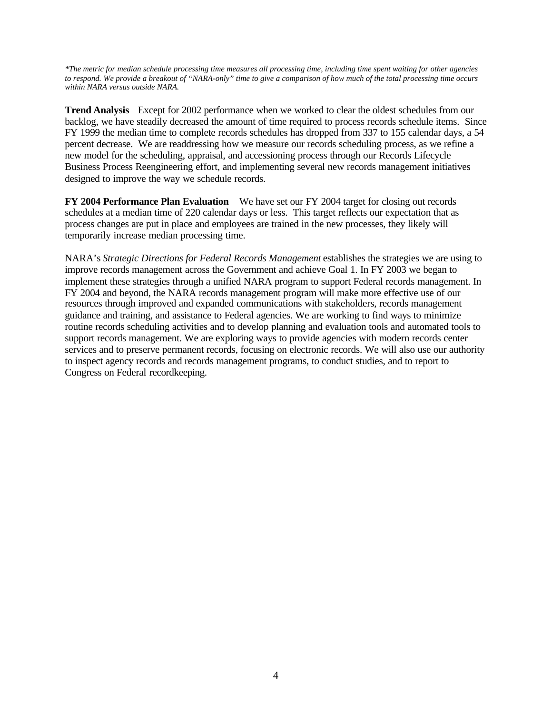*\*The metric for median schedule processing time measures all processing time, including time spent waiting for other agencies to respond. We provide a breakout of "NARA-only" time to give a comparison of how much of the total processing time occurs within NARA versus outside NARA.* 

**Trend Analysis** Except for 2002 performance when we worked to clear the oldest schedules from our backlog, we have steadily decreased the amount of time required to process records schedule items. Since FY 1999 the median time to complete records schedules has dropped from 337 to 155 calendar days, a 54 percent decrease. We are readdressing how we measure our records scheduling process, as we refine a new model for the scheduling, appraisal, and accessioning process through our Records Lifecycle Business Process Reengineering effort, and implementing several new records management initiatives designed to improve the way we schedule records.

**FY 2004 Performance Plan Evaluation** We have set our FY 2004 target for closing out records schedules at a median time of 220 calendar days or less. This target reflects our expectation that as process changes are put in place and employees are trained in the new processes, they likely will temporarily increase median processing time.

NARA's *Strategic Directions for Federal Records Management* establishes the strategies we are using to improve records management across the Government and achieve Goal 1. In FY 2003 we began to implement these strategies through a unified NARA program to support Federal records management. In FY 2004 and beyond, the NARA records management program will make more effective use of our resources through improved and expanded communications with stakeholders, records management guidance and training, and assistance to Federal agencies. We are working to find ways to minimize routine records scheduling activities and to develop planning and evaluation tools and automated tools to support records management. We are exploring ways to provide agencies with modern records center services and to preserve permanent records, focusing on electronic records. We will also use our authority to inspect agency records and records management programs, to conduct studies, and to report to Congress on Federal recordkeeping.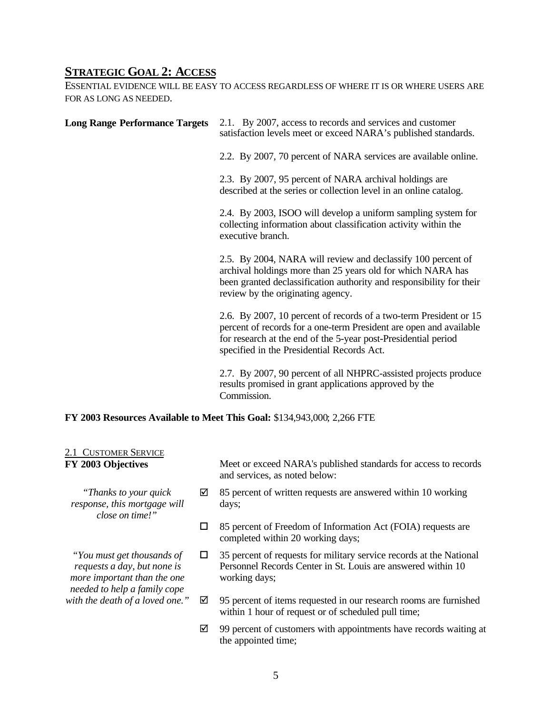#### **STRATEGIC GOAL 2: ACCESS**

ESSENTIAL EVIDENCE WILL BE EASY TO ACCESS REGARDLESS OF WHERE IT IS OR WHERE USERS ARE FOR AS LONG AS NEEDED.

| <b>Long Range Performance Targets</b>      | 2.1. By 2007, access to records and services and customer<br>satisfaction levels meet or exceed NARA's published standards.                                                                                                                             |  |  |  |
|--------------------------------------------|---------------------------------------------------------------------------------------------------------------------------------------------------------------------------------------------------------------------------------------------------------|--|--|--|
|                                            | 2.2. By 2007, 70 percent of NARA services are available online.                                                                                                                                                                                         |  |  |  |
|                                            | 2.3. By 2007, 95 percent of NARA archival holdings are<br>described at the series or collection level in an online catalog.                                                                                                                             |  |  |  |
|                                            | 2.4. By 2003, ISOO will develop a uniform sampling system for<br>collecting information about classification activity within the<br>executive branch.                                                                                                   |  |  |  |
|                                            | 2.5. By 2004, NARA will review and declassify 100 percent of<br>archival holdings more than 25 years old for which NARA has<br>been granted declassification authority and responsibility for their<br>review by the originating agency.                |  |  |  |
|                                            | 2.6. By 2007, 10 percent of records of a two-term President or 15<br>percent of records for a one-term President are open and available<br>for research at the end of the 5-year post-Presidential period<br>specified in the Presidential Records Act. |  |  |  |
|                                            | 2.7. By 2007, 90 percent of all NHPRC-assisted projects produce<br>results promised in grant applications approved by the<br>Commission.                                                                                                                |  |  |  |
|                                            | FY 2003 Resources Available to Meet This Goal: \$134,943,000; 2,266 FTE                                                                                                                                                                                 |  |  |  |
| 2.1 CUSTOMER SERVICE<br>FY 2003 Objectives | Meet or exceed NARA's published standards for access to records<br>and services, as noted below:                                                                                                                                                        |  |  |  |
| "Thanks to your quick"<br>☑                | 85 percent of written requests are answered within 10 working                                                                                                                                                                                           |  |  |  |

*response, this mortgage will* days; *close on time!"* 

*more important than the one* working days; *needed to help a family cope* 

□ 85 percent of Freedom of Information Act (FOIA) requests are completed within 20 working days;

*"You must get thousands of*  $\Box$  35 percent of requests for military service records at the National *requests a day, but none is* Personnel Records Center in St. Louis are answered within 10 Personnel Records Center in St. Louis are answered within 10

- *with the death of a loved one.*"  $\boxtimes$  95 percent of items requested in our research rooms are furnished within 1 hour of request or of scheduled pull time;
	- $\boxtimes$  99 percent of customers with appointments have records waiting at the appointed time;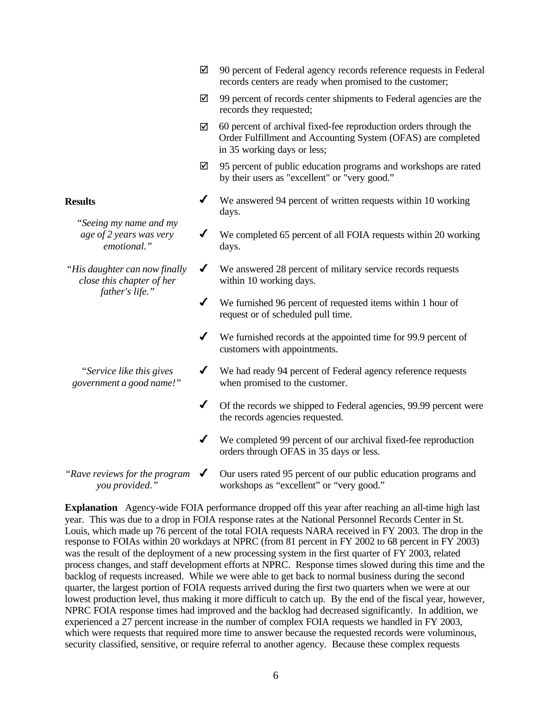- $\boxtimes$  90 percent of Federal agency records reference requests in Federal records centers are ready when promised to the customer;
- $\boxtimes$  99 percent of records center shipments to Federal agencies are the records they requested;
- $\boxtimes$  60 percent of archival fixed-fee reproduction orders through the Order Fulfillment and Accounting System (OFAS) are completed in 35 working days or less;
- $\boxtimes$  95 percent of public education programs and workshops are rated by their users as "excellent" or "very good."
- **Results** ★ We answered 94 percent of written requests within 10 working days.
	- *age of 2 years was very* ↓ We completed 65 percent of all FOIA requests within 20 working
- *"His daughter can now finally*  $\checkmark$  We answered 28 percent of military service records requests *close this chapter of her* within 10 working days.
	- $\checkmark$  We furnished 96 percent of requested items within 1 hour of request or of scheduled pull time.
	- $\checkmark$  We furnished records at the appointed time for 99.9 percent of customers with appointments.
- *"Service like this gives*  $\blacktriangledown$  We had ready 94 percent of Federal agency reference requests *government a good name!"* when promised to the customer.
	- $\blacklozenge$  Of the records we shipped to Federal agencies, 99.99 percent were the records agencies requested.
	- $\checkmark$  We completed 99 percent of our archival fixed-fee reproduction orders through OFAS in 35 days or less.
- *"Rave reviews for the program* � Our users rated 95 percent of our public education programs and *you provided."* workshops as "excellent" or "very good."

**Explanation** Agency-wide FOIA performance dropped off this year after reaching an all-time high last year. This was due to a drop in FOIA response rates at the National Personnel Records Center in St. Louis, which made up 76 percent of the total FOIA requests NARA received in FY 2003. The drop in the response to FOIAs within 20 workdays at NPRC (from 81 percent in FY 2002 to 68 percent in FY 2003) was the result of the deployment of a new processing system in the first quarter of FY 2003, related process changes, and staff development efforts at NPRC. Response times slowed during this time and the backlog of requests increased. While we were able to get back to normal business during the second quarter, the largest portion of FOIA requests arrived during the first two quarters when we were at our lowest production level, thus making it more difficult to catch up. By the end of the fiscal year, however, NPRC FOIA response times had improved and the backlog had decreased significantly. In addition, we experienced a 27 percent increase in the number of complex FOIA requests we handled in FY 2003, which were requests that required more time to answer because the requested records were voluminous, security classified, sensitive, or require referral to another agency. Because these complex requests

*"Seeing my name and my emotional."* days.

*father's life."*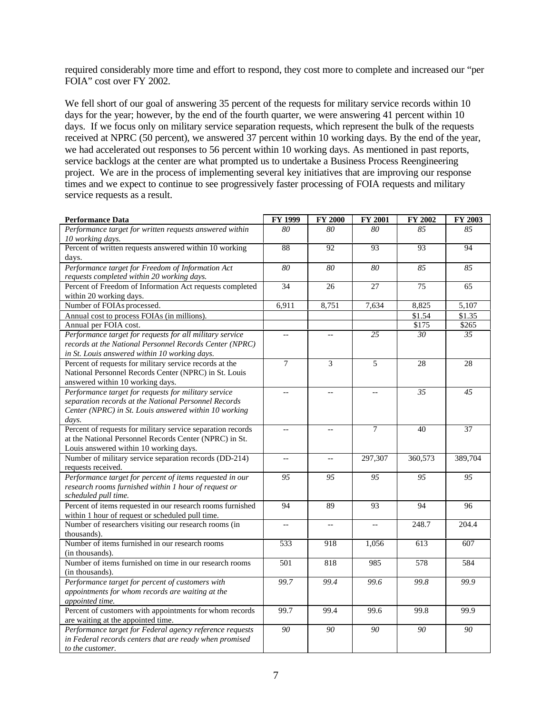required considerably more time and effort to respond, they cost more to complete and increased our "per FOIA" cost over FY 2002.

We fell short of our goal of answering 35 percent of the requests for military service records within 10 days for the year; however, by the end of the fourth quarter, we were answering 41 percent within 10 days. If we focus only on military service separation requests, which represent the bulk of the requests received at NPRC (50 percent), we answered 37 percent within 10 working days. By the end of the year, we had accelerated out responses to 56 percent within 10 working days. As mentioned in past reports, service backlogs at the center are what prompted us to undertake a Business Process Reengineering project. We are in the process of implementing several key initiatives that are improving our response times and we expect to continue to see progressively faster processing of FOIA requests and military service requests as a result.

| <b>Performance Data</b>                                                     | FY 1999        | FY 2000        | FY 2001 | FY 2002 | FY 2003         |
|-----------------------------------------------------------------------------|----------------|----------------|---------|---------|-----------------|
| Performance target for written requests answered within<br>10 working days. | 80             | 80             | 80      | 85      | 85              |
| Percent of written requests answered within 10 working                      | 88             | 92             | 93      | 93      | 94              |
| days.                                                                       |                |                |         |         |                 |
| Performance target for Freedom of Information Act                           | 80             | 80             | 80      | 85      | 85              |
| requests completed within 20 working days.                                  |                |                |         |         |                 |
| Percent of Freedom of Information Act requests completed                    | 34             | 26             | 27      | 75      | 65              |
| within 20 working days.                                                     |                |                |         |         |                 |
| Number of FOIAs processed.                                                  | 6,911          | 8,751          | 7,634   | 8,825   | 5,107           |
| Annual cost to process FOIAs (in millions).                                 |                |                |         | \$1.54  | \$1.35          |
| Annual per FOIA cost.                                                       |                |                |         | \$175   | \$265           |
| Performance target for requests for all military service                    | Ξ.             | $\overline{a}$ | 25      | 30      | 35              |
| records at the National Personnel Records Center (NPRC)                     |                |                |         |         |                 |
| in St. Louis answered within 10 working days.                               |                |                |         |         |                 |
| Percent of requests for military service records at the                     | $\overline{7}$ | 3              | 5       | 28      | 28              |
| National Personnel Records Center (NPRC) in St. Louis                       |                |                |         |         |                 |
| answered within 10 working days.                                            |                |                |         |         |                 |
| Performance target for requests for military service                        | $- -$          | --             |         | 35      | 45              |
| separation records at the National Personnel Records                        |                |                |         |         |                 |
| Center (NPRC) in St. Louis answered within 10 working                       |                |                |         |         |                 |
| days.                                                                       |                |                |         |         |                 |
| Percent of requests for military service separation records                 | $-$            | $\overline{a}$ | 7       | 40      | $\overline{37}$ |
| at the National Personnel Records Center (NPRC) in St.                      |                |                |         |         |                 |
| Louis answered within 10 working days.                                      |                |                |         |         |                 |
| Number of military service separation records (DD-214)                      | $-$            | $-$            | 297,307 | 360,573 | 389,704         |
| requests received.                                                          |                |                |         |         |                 |
| Performance target for percent of items requested in our                    | 95             | 95             | 95      | 95      | 95              |
| research rooms furnished within 1 hour of request or                        |                |                |         |         |                 |
| scheduled pull time.                                                        |                |                |         |         |                 |
| Percent of items requested in our research rooms furnished                  | 94             | 89             | 93      | 94      | 96              |
| within 1 hour of request or scheduled pull time.                            |                |                |         |         | 204.4           |
| Number of researchers visiting our research rooms (in<br>thousands).        |                |                |         | 248.7   |                 |
| Number of items furnished in our research rooms                             | 533            | 918            | 1,056   | 613     | 607             |
| (in thousands).                                                             |                |                |         |         |                 |
| Number of items furnished on time in our research rooms                     | 501            | 818            | 985     | 578     | 584             |
| (in thousands).                                                             |                |                |         |         |                 |
| Performance target for percent of customers with                            | 99.7           | 99.4           | 99.6    | 99.8    | 99.9            |
| appointments for whom records are waiting at the                            |                |                |         |         |                 |
| appointed time.                                                             |                |                |         |         |                 |
| Percent of customers with appointments for whom records                     | 99.7           | 99.4           | 99.6    | 99.8    | 99.9            |
| are waiting at the appointed time.                                          |                |                |         |         |                 |
| Performance target for Federal agency reference requests                    | 90             | 90             | 90      | 90      | 90              |
| in Federal records centers that are ready when promised                     |                |                |         |         |                 |
| to the customer.                                                            |                |                |         |         |                 |
|                                                                             |                |                |         |         |                 |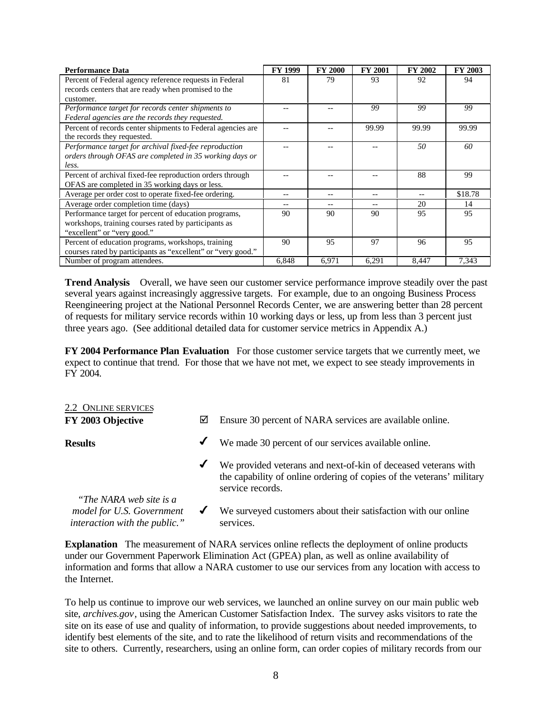| <b>Performance Data</b>                                      | <b>FY 1999</b> | <b>FY 2000</b> | <b>FY 2001</b> | <b>FY 2002</b> | FY 2003 |
|--------------------------------------------------------------|----------------|----------------|----------------|----------------|---------|
| Percent of Federal agency reference requests in Federal      | 81             | 79             | 93             | 92             | 94      |
| records centers that are ready when promised to the          |                |                |                |                |         |
| customer.                                                    |                |                |                |                |         |
| Performance target for records center shipments to           |                |                | 99             | 99             | 99      |
| Federal agencies are the records they requested.             |                |                |                |                |         |
| Percent of records center shipments to Federal agencies are  |                |                | 99.99          | 99.99          | 99.99   |
| the records they requested.                                  |                |                |                |                |         |
| Performance target for archival fixed-fee reproduction       |                |                |                | 50             | 60      |
| orders through OFAS are completed in 35 working days or      |                |                |                |                |         |
| less.                                                        |                |                |                |                |         |
| Percent of archival fixed-fee reproduction orders through    |                |                |                | 88             | 99      |
| OFAS are completed in 35 working days or less.               |                |                |                |                |         |
| Average per order cost to operate fixed-fee ordering.        |                |                |                |                | \$18.78 |
| Average order completion time (days)                         | --             |                | --             | 20             | 14      |
| Performance target for percent of education programs,        | 90             | 90             | 90             | 95             | 95      |
| workshops, training courses rated by participants as         |                |                |                |                |         |
| "excellent" or "very good."                                  |                |                |                |                |         |
| Percent of education programs, workshops, training           | 90             | 95             | 97             | 96             | 95      |
| courses rated by participants as "excellent" or "very good." |                |                |                |                |         |
| Number of program attendees.                                 | 6,848          | 6,971          | 6,291          | 8,447          | 7,343   |

**Trend Analysis** Overall, we have seen our customer service performance improve steadily over the past several years against increasingly aggressive targets. For example, due to an ongoing Business Process Reengineering project at the National Personnel Records Center, we are answering better than 28 percent of requests for military service records within 10 working days or less, up from less than 3 percent just three years ago. (See additional detailed data for customer service metrics in Appendix A.)

**FY 2004 Performance Plan Evaluation** For those customer service targets that we currently meet, we expect to continue that trend. For those that we have not met, we expect to see steady improvements in FY 2004.

| 2.2 ONLINE SERVICES                                                                   |   |                                                                                                                                                             |
|---------------------------------------------------------------------------------------|---|-------------------------------------------------------------------------------------------------------------------------------------------------------------|
| FY 2003 Objective                                                                     | ☑ | Ensure 30 percent of NARA services are available online.                                                                                                    |
| <b>Results</b>                                                                        | ✔ | We made 30 percent of our services available online.                                                                                                        |
|                                                                                       | ✔ | We provided veterans and next-of-kin of deceased veterans with<br>the capability of online ordering of copies of the veterans' military<br>service records. |
| "The NARA web site is a<br>model for U.S. Government<br>interaction with the public." | ✔ | We surveyed customers about their satisfaction with our online<br>services.                                                                                 |

**Explanation** The measurement of NARA services online reflects the deployment of online products under our Government Paperwork Elimination Act (GPEA) plan, as well as online availability of information and forms that allow a NARA customer to use our services from any location with access to the Internet.

To help us continue to improve our web services, we launched an online survey on our main public web site, *archives.gov*, using the American Customer Satisfaction Index. The survey asks visitors to rate the site on its ease of use and quality of information, to provide suggestions about needed improvements, to identify best elements of the site, and to rate the likelihood of return visits and recommendations of the site to others. Currently, researchers, using an online form, can order copies of military records from our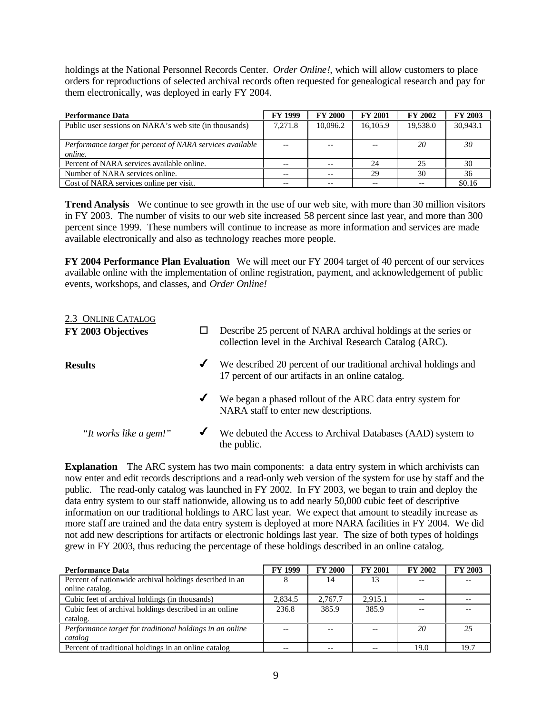holdings at the National Personnel Records Center. *Order Online!,* which will allow customers to place orders for reproductions of selected archival records often requested for genealogical research and pay for them electronically, was deployed in early FY 2004.

| <b>Performance Data</b>                                   | <b>FY 1999</b> | <b>FY 2000</b> | <b>FY 2001</b> | <b>FY 2002</b> | FY 2003  |
|-----------------------------------------------------------|----------------|----------------|----------------|----------------|----------|
| Public user sessions on NARA's web site (in thousands)    | 7.271.8        | 10.096.2       | 16,105.9       | 19,538.0       | 30,943.1 |
|                                                           |                |                |                |                |          |
| Performance target for percent of NARA services available |                |                | $-$            | <b>20</b>      | 30       |
| online.                                                   |                |                |                |                |          |
| Percent of NARA services available online.                | $- -$          |                | 24             | 25             | 30       |
| Number of NARA services online.                           |                |                | 29             | 30             | 36       |
| Cost of NARA services online per visit.                   |                |                |                |                | \$0.16   |

**Trend Analysis** We continue to see growth in the use of our web site, with more than 30 million visitors in FY 2003. The number of visits to our web site increased 58 percent since last year, and more than 300 percent since 1999. These numbers will continue to increase as more information and services are made available electronically and also as technology reaches more people.

**FY 2004 Performance Plan Evaluation** We will meet our FY 2004 target of 40 percent of our services available online with the implementation of online registration, payment, and acknowledgement of public events, workshops, and classes, and *Order Online!* 

| 2.3 ONLINE CATALOG     |              |                                                                                                                            |
|------------------------|--------------|----------------------------------------------------------------------------------------------------------------------------|
| FY 2003 Objectives     |              | Describe 25 percent of NARA archival holdings at the series or<br>collection level in the Archival Research Catalog (ARC). |
| <b>Results</b>         | $\checkmark$ | We described 20 percent of our traditional archival holdings and<br>17 percent of our artifacts in an online catalog.      |
|                        | $\checkmark$ | We began a phased rollout of the ARC data entry system for<br>NARA staff to enter new descriptions.                        |
| "It works like a gem!" | ✔            | We debuted the Access to Archival Databases (AAD) system to<br>the public.                                                 |

**Explanation** The ARC system has two main components: a data entry system in which archivists can now enter and edit records descriptions and a read-only web version of the system for use by staff and the public. The read-only catalog was launched in FY 2002. In FY 2003, we began to train and deploy the data entry system to our staff nationwide, allowing us to add nearly 50,000 cubic feet of descriptive information on our traditional holdings to ARC last year. We expect that amount to steadily increase as more staff are trained and the data entry system is deployed at more NARA facilities in FY 2004. We did not add new descriptions for artifacts or electronic holdings last year. The size of both types of holdings grew in FY 2003, thus reducing the percentage of these holdings described in an online catalog.

| <b>Performance Data</b>                                  | <b>FY 1999</b> | <b>FY 2000</b> | <b>FY 2001</b> | <b>FY 2002</b> | <b>FY 2003</b> |
|----------------------------------------------------------|----------------|----------------|----------------|----------------|----------------|
| Percent of nationwide archival holdings described in an  |                | 14             |                |                |                |
| online catalog.                                          |                |                |                |                |                |
| Cubic feet of archival holdings (in thousands)           | 2,834.5        | 2.767.7        | 2.915.1        |                |                |
| Cubic feet of archival holdings described in an online   | 236.8          | 385.9          | 385.9          |                |                |
| catalog.                                                 |                |                |                |                |                |
| Performance target for traditional holdings in an online |                |                |                | 20             | 25             |
| catalog                                                  |                |                |                |                |                |
| Percent of traditional holdings in an online catalog     |                |                |                | 19.0           | 19.7           |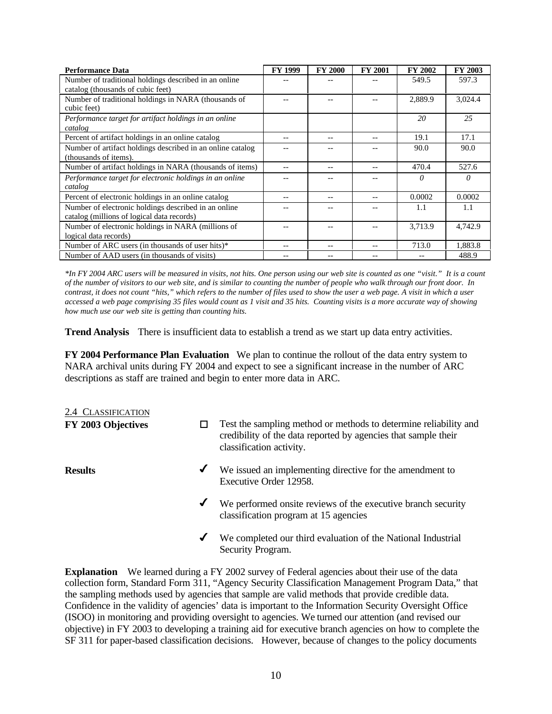| <b>Performance Data</b>                                    | <b>FY 1999</b> | <b>FY 2000</b> | <b>FY 2001</b> | FY 2002 | <b>FY 2003</b> |
|------------------------------------------------------------|----------------|----------------|----------------|---------|----------------|
| Number of traditional holdings described in an online      |                |                |                | 549.5   | 597.3          |
| catalog (thousands of cubic feet)                          |                |                |                |         |                |
| Number of traditional holdings in NARA (thousands of       |                |                |                | 2,889.9 | 3,024.4        |
| cubic feet)                                                |                |                |                |         |                |
| Performance target for artifact holdings in an online      |                |                |                | 20      | 25             |
| catalog                                                    |                |                |                |         |                |
| Percent of artifact holdings in an online catalog          | --             |                | --             | 19.1    | 17.1           |
| Number of artifact holdings described in an online catalog |                |                |                | 90.0    | 90.0           |
| (thousands of items).                                      |                |                |                |         |                |
| Number of artifact holdings in NARA (thousands of items)   |                |                |                | 470.4   | 527.6          |
| Performance target for electronic holdings in an online    |                |                |                | 0       | $\theta$       |
| catalog                                                    |                |                |                |         |                |
| Percent of electronic holdings in an online catalog        |                |                |                | 0.0002  | 0.0002         |
| Number of electronic holdings described in an online       |                |                |                | 1.1     | 1.1            |
| catalog (millions of logical data records)                 |                |                |                |         |                |
| Number of electronic holdings in NARA (millions of         |                |                |                | 3,713.9 | 4,742.9        |
| logical data records)                                      |                |                |                |         |                |
| Number of ARC users (in thousands of user hits)*           |                |                |                | 713.0   | 1.883.8        |
| Number of AAD users (in thousands of visits)               |                |                |                |         | 488.9          |

*\*In FY 2004 ARC users will be measured in visits, not hits. One person using our web site is counted as one "visit." It is a count of the number of visitors to our web site, and is similar to counting the number of people who walk through our front door. In contrast, it does not count "hits," which refers to the number of files used to show the user a web page. A visit in which a user accessed a web page comprising 35 files would count as 1 visit and 35 hits. Counting visits is a more accurate way of showing how much use our web site is getting than counting hits.* 

**Trend Analysis** There is insufficient data to establish a trend as we start up data entry activities.

**FY 2004 Performance Plan Evaluation** We plan to continue the rollout of the data entry system to NARA archival units during FY 2004 and expect to see a significant increase in the number of ARC descriptions as staff are trained and begin to enter more data in ARC.

## 2.4 CLASSIFICATION

- 
- **FY 2003 Objectives**  $\Box$  Test the sampling method or methods to determine reliability and credibility of the data reported by agencies that sample their classification activity.
- **Results**  $\checkmark$  We issued an implementing directive for the amendment to Executive Order 12958.
	- $\checkmark$  We performed onsite reviews of the executive branch security classification program at 15 agencies
	- $\checkmark$  We completed our third evaluation of the National Industrial Security Program.

**Explanation** We learned during a FY 2002 survey of Federal agencies about their use of the data collection form, Standard Form 311, "Agency Security Classification Management Program Data," that the sampling methods used by agencies that sample are valid methods that provide credible data. Confidence in the validity of agencies' data is important to the Information Security Oversight Office (ISOO) in monitoring and providing oversight to agencies. We turned our attention (and revised our objective) in FY 2003 to developing a training aid for executive branch agencies on how to complete the SF 311 for paper-based classification decisions. However, because of changes to the policy documents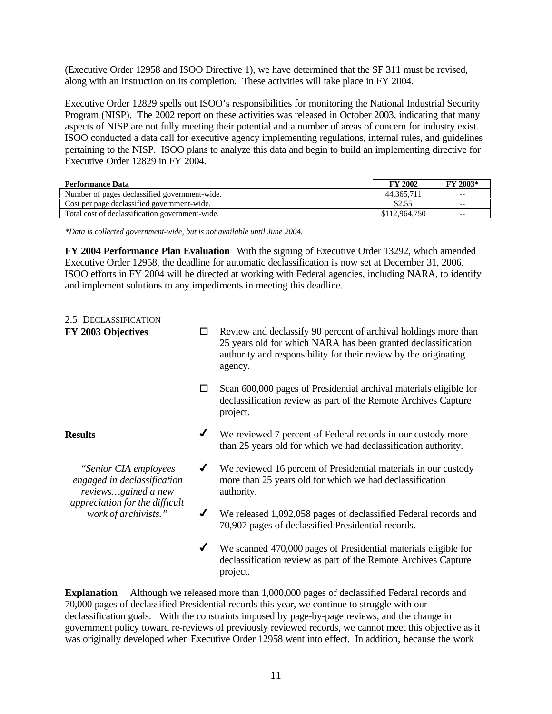(Executive Order 12958 and ISOO Directive 1), we have determined that the SF 311 must be revised, along with an instruction on its completion. These activities will take place in FY 2004.

Executive Order 12829 spells out ISOO's responsibilities for monitoring the National Industrial Security Program (NISP). The 2002 report on these activities was released in October 2003, indicating that many aspects of NISP are not fully meeting their potential and a number of areas of concern for industry exist. ISOO conducted a data call for executive agency implementing regulations, internal rules, and guidelines pertaining to the NISP. ISOO plans to analyze this data and begin to build an implementing directive for Executive Order 12829 in FY 2004.

| <b>Performance Data</b>                         | <b>FY 2002</b> | FY 2003* |
|-------------------------------------------------|----------------|----------|
| Number of pages declassified government-wide.   | 44, 365, 71    | $- -$    |
| Cost per page declassified government-wide.     | \$2.55         | $- -$    |
| Total cost of declassification government-wide. | \$112,964,750  | $- -$    |

*\*Data is collected government-wide, but is not available until June 2004.* 

**FY 2004 Performance Plan Evaluation** With the signing of Executive Order 13292, which amended Executive Order 12958, the deadline for automatic declassification is now set at December 31, 2006. ISOO efforts in FY 2004 will be directed at working with Federal agencies, including NARA, to identify and implement solutions to any impediments in meeting this deadline.

#### 2.5 DECLASSIFICATION

| FY 2003 Objectives                                                                                                                    | □                    | Review and declassify 90 percent of archival holdings more than<br>25 years old for which NARA has been granted declassification<br>authority and responsibility for their review by the originating<br>agency. |  |  |
|---------------------------------------------------------------------------------------------------------------------------------------|----------------------|-----------------------------------------------------------------------------------------------------------------------------------------------------------------------------------------------------------------|--|--|
|                                                                                                                                       | П                    | Scan 600,000 pages of Presidential archival materials eligible for<br>declassification review as part of the Remote Archives Capture<br>project.                                                                |  |  |
| <b>Results</b>                                                                                                                        |                      | We reviewed 7 percent of Federal records in our custody more<br>than 25 years old for which we had declassification authority.                                                                                  |  |  |
| "Senior CIA employees<br>engaged in declassification<br>reviewsgained a new<br>appreciation for the difficult<br>work of archivists." | $\blacktriangledown$ | We reviewed 16 percent of Presidential materials in our custody<br>more than 25 years old for which we had declassification<br>authority.                                                                       |  |  |
|                                                                                                                                       |                      | We released 1,092,058 pages of declassified Federal records and<br>70,907 pages of declassified Presidential records.                                                                                           |  |  |
|                                                                                                                                       | $\checkmark$         | We scanned 470,000 pages of Presidential materials eligible for<br>declassification review as part of the Remote Archives Capture                                                                               |  |  |

**Explanation** Although we released more than 1,000,000 pages of declassified Federal records and 70,000 pages of declassified Presidential records this year, we continue to struggle with our declassification goals. With the constraints imposed by page-by-page reviews, and the change in government policy toward re-reviews of previously reviewed records, we cannot meet this objective as it was originally developed when Executive Order 12958 went into effect. In addition, because the work

project.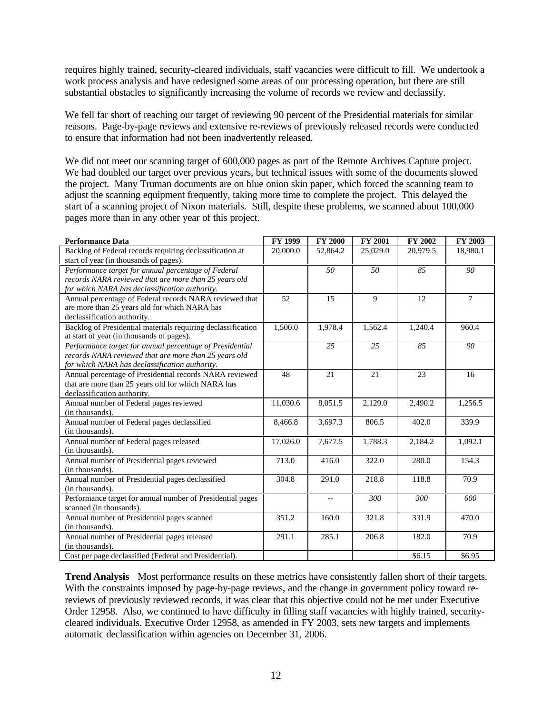requires highly trained, security-cleared individuals, staff vacancies were difficult to fill. We undertook a work process analysis and have redesigned some areas of our processing operation, but there are still substantial obstacles to significantly increasing the volume of records we review and declassify.

We fell far short of reaching our target of reviewing 90 percent of the Presidential materials for similar reasons. Page-by-page reviews and extensive re-reviews of previously released records were conducted to ensure that information had not been inadvertently released.

We did not meet our scanning target of 600,000 pages as part of the Remote Archives Capture project. We had doubled our target over previous years, but technical issues with some of the documents slowed the project. Many Truman documents are on blue onion skin paper, which forced the scanning team to adjust the scanning equipment frequently, taking more time to complete the project. This delayed the start of a scanning project of Nixon materials. Still, despite these problems, we scanned about 100,000 pages more than in any other year of this project.

| <b>Performance Data</b>                                      | <b>FY 1999</b> | <b>FY 2000</b>           | FY 2001  | FY 2002  | FY 2003        |
|--------------------------------------------------------------|----------------|--------------------------|----------|----------|----------------|
| Backlog of Federal records requiring declassification at     | 20,000.0       | 52,864.2                 | 25,029.0 | 20,979.5 | 18,980.1       |
| start of year (in thousands of pages).                       |                |                          |          |          |                |
| Performance target for annual percentage of Federal          |                | 50                       | 50       | 85       | 90             |
| records NARA reviewed that are more than 25 years old        |                |                          |          |          |                |
| for which NARA has declassification authority.               |                |                          |          |          |                |
| Annual percentage of Federal records NARA reviewed that      | 52             | 15                       | 9        | 12       | $\overline{7}$ |
| are more than 25 years old for which NARA has                |                |                          |          |          |                |
| declassification authority.                                  |                |                          |          |          |                |
| Backlog of Presidential materials requiring declassification | 1,500.0        | 1,978.4                  | 1,562.4  | 1,240.4  | 960.4          |
| at start of year (in thousands of pages).                    |                |                          |          |          |                |
| Performance target for annual percentage of Presidential     |                | 25                       | 25       | 85       | 90             |
| records NARA reviewed that are more than 25 years old        |                |                          |          |          |                |
| for which NARA has declassification authority.               |                |                          |          |          |                |
| Annual percentage of Presidential records NARA reviewed      | 48             | 21                       | 21       | 23       | 16             |
| that are more than 25 years old for which NARA has           |                |                          |          |          |                |
| declassification authority.                                  |                |                          |          |          |                |
| Annual number of Federal pages reviewed                      | 11,030.6       | 8,051.5                  | 2,129.0  | 2,490.2  | 1,256.5        |
| (in thousands).                                              |                |                          |          |          |                |
| Annual number of Federal pages declassified                  | 8,466.8        | 3,697.3                  | 806.5    | 402.0    | 339.9          |
| (in thousands).                                              |                |                          |          |          |                |
| Annual number of Federal pages released                      | 17,026.0       | 7,677.5                  | 1,788.3  | 2,184.2  | 1,092.1        |
| (in thousands).                                              |                |                          |          |          |                |
| Annual number of Presidential pages reviewed                 | 713.0          | 416.0                    | 322.0    | 280.0    | 154.3          |
| (in thousands).                                              |                |                          |          |          |                |
| Annual number of Presidential pages declassified             | 304.8          | 291.0                    | 218.8    | 118.8    | 70.9           |
| (in thousands).                                              |                |                          |          |          |                |
| Performance target for annual number of Presidential pages   |                | $\overline{\phantom{a}}$ | 300      | 300      | 600            |
| scanned (in thousands).                                      |                |                          |          |          |                |
| Annual number of Presidential pages scanned                  | 351.2          | 160.0                    | 321.8    | 331.9    | 470.0          |
| (in thousands).                                              |                |                          |          |          |                |
| Annual number of Presidential pages released                 | 291.1          | 285.1                    | 206.8    | 182.0    | 70.9           |
| (in thousands).                                              |                |                          |          |          |                |
| Cost per page declassified (Federal and Presidential).       |                |                          |          | \$6.15   | \$6.95         |

**Trend Analysis** Most performance results on these metrics have consistently fallen short of their targets. With the constraints imposed by page-by-page reviews, and the change in government policy toward rereviews of previously reviewed records, it was clear that this objective could not be met under Executive Order 12958. Also, we continued to have difficulty in filling staff vacancies with highly trained, securitycleared individuals. Executive Order 12958, as amended in FY 2003, sets new targets and implements automatic declassification within agencies on December 31, 2006.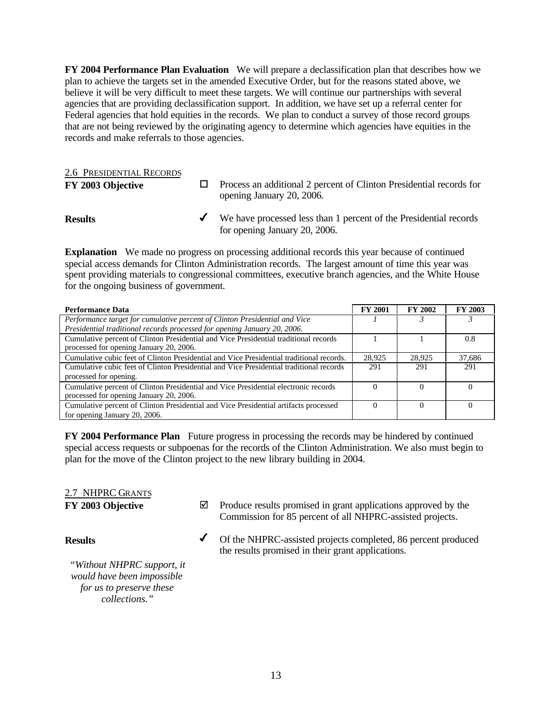**FY 2004 Performance Plan Evaluation** We will prepare a declassification plan that describes how we plan to achieve the targets set in the amended Executive Order, but for the reasons stated above, we believe it will be very difficult to meet these targets. We will continue our partnerships with several agencies that are providing declassification support. In addition, we have set up a referral center for Federal agencies that hold equities in the records. We plan to conduct a survey of those record groups that are not being reviewed by the originating agency to determine which agencies have equities in the records and make referrals to those agencies.

#### 2.6 PRESIDENTIAL RECORDS

**FY 2003 Objective**  $\Box$  Process an additional 2 percent of Clinton Presidential records for opening January 20, 2006. **Results** ◆ We have processed less than 1 percent of the Presidential records for opening January 20, 2006.

**Explanation** We made no progress on processing additional records this year because of continued special access demands for Clinton Administration records. The largest amount of time this year was spent providing materials to congressional committees, executive branch agencies, and the White House for the ongoing business of government.

| <b>Performance Data</b>                                                                  | <b>FY 2001</b> | <b>FY 2002</b> | <b>FY 2003</b> |
|------------------------------------------------------------------------------------------|----------------|----------------|----------------|
| Performance target for cumulative percent of Clinton Presidential and Vice               |                |                |                |
| Presidential traditional records processed for opening January 20, 2006.                 |                |                |                |
| Cumulative percent of Clinton Presidential and Vice Presidential traditional records     |                |                | 0.8            |
| processed for opening January 20, 2006.                                                  |                |                |                |
| Cumulative cubic feet of Clinton Presidential and Vice Presidential traditional records. | 28,925         | 28,925         | 37.686         |
| Cumulative cubic feet of Clinton Presidential and Vice Presidential traditional records  | 291            | 291            | 291            |
| processed for opening.                                                                   |                |                |                |
| Cumulative percent of Clinton Presidential and Vice Presidential electronic records      |                |                |                |
| processed for opening January 20, 2006.                                                  |                |                |                |
| Cumulative percent of Clinton Presidential and Vice Presidential artifacts processed     |                |                |                |
| for opening January 20, 2006.                                                            |                |                |                |

**FY 2004 Performance Plan** Future progress in processing the records may be hindered by continued special access requests or subpoenas for the records of the Clinton Administration. We also must begin to plan for the move of the Clinton project to the new library building in 2004.

## 2.7 NHPRC GRANTS

**FY 2003 Objective**  $\boxtimes$  Produce results promised in grant applications approved by the Commission for 85 percent of all NHPRC-assisted projects.

the results promised in their grant applications.

#### **Results** ◆ Of the NHPRC-assisted projects completed, 86 percent produced

*"Without NHPRC support, it would have been impossible for us to preserve these collections."*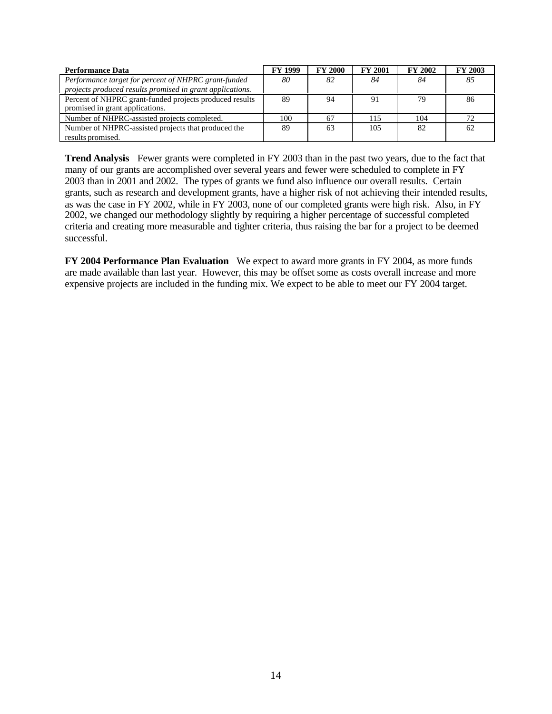| <b>Performance Data</b>                                   | <b>FY 1999</b> | <b>FY 2000</b> | <b>FY 2001</b> | <b>FY 2002</b> | <b>FY 2003</b> |
|-----------------------------------------------------------|----------------|----------------|----------------|----------------|----------------|
| Performance target for percent of NHPRC grant-funded      | 80             | 82             | 84             | 84             | 85             |
| projects produced results promised in grant applications. |                |                |                |                |                |
| Percent of NHPRC grant-funded projects produced results   | 89             | 94             | 91             | 79             | -86            |
| promised in grant applications.                           |                |                |                |                |                |
| Number of NHPRC-assisted projects completed.              | 100            | 67             | 115            | 104            | 72             |
| Number of NHPRC-assisted projects that produced the       | 89             | 63             | 105            | 82             | 62             |
| results promised.                                         |                |                |                |                |                |

**Trend Analysis** Fewer grants were completed in FY 2003 than in the past two years, due to the fact that many of our grants are accomplished over several years and fewer were scheduled to complete in FY 2003 than in 2001 and 2002. The types of grants we fund also influence our overall results. Certain grants, such as research and development grants, have a higher risk of not achieving their intended results, as was the case in FY 2002, while in FY 2003, none of our completed grants were high risk. Also, in FY 2002, we changed our methodology slightly by requiring a higher percentage of successful completed criteria and creating more measurable and tighter criteria, thus raising the bar for a project to be deemed successful.

**FY 2004 Performance Plan Evaluation** We expect to award more grants in FY 2004, as more funds are made available than last year. However, this may be offset some as costs overall increase and more expensive projects are included in the funding mix. We expect to be able to meet our FY 2004 target.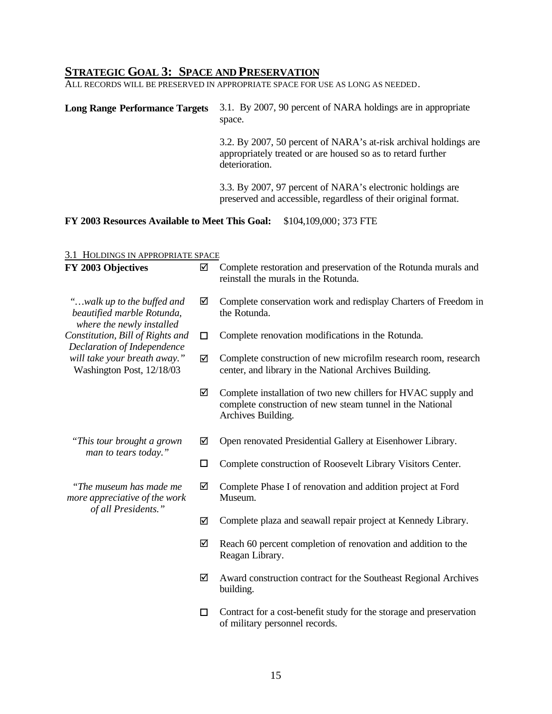#### **STRATEGIC GOAL 3: SPACE AND PRESERVATION**

ALL RECORDS WILL BE PRESERVED IN APPROPRIATE SPACE FOR USE AS LONG AS NEEDED.

#### **Long Range Performance Targets** 3.1. By 2007, 90 percent of NARA holdings are in appropriate space.

3.2. By 2007, 50 percent of NARA's at-risk archival holdings are appropriately treated or are housed so as to retard further deterioration.

3.3. By 2007, 97 percent of NARA's electronic holdings are preserved and accessible, regardless of their original format.

#### **FY 2003 Resources Available to Meet This Goal:** \$104,109,000; 373 FTE

#### 3.1 HOLDINGS IN APPROPRIATE SPACE

| FY 2003 Objectives                                                                    | ☑      | Complete restoration and preservation of the Rotunda murals and<br>reinstall the murals in the Rotunda.                                          |
|---------------------------------------------------------------------------------------|--------|--------------------------------------------------------------------------------------------------------------------------------------------------|
| "walk up to the buffed and<br>beautified marble Rotunda,<br>where the newly installed | ☑      | Complete conservation work and redisplay Charters of Freedom in<br>the Rotunda.                                                                  |
| Constitution, Bill of Rights and<br>Declaration of Independence                       | □      | Complete renovation modifications in the Rotunda.                                                                                                |
| will take your breath away."<br>Washington Post, 12/18/03                             | ☑      | Complete construction of new microfilm research room, research<br>center, and library in the National Archives Building.                         |
|                                                                                       | ☑      | Complete installation of two new chillers for HVAC supply and<br>complete construction of new steam tunnel in the National<br>Archives Building. |
| "This tour brought a grown<br>man to tears today."                                    | ☑      | Open renovated Presidential Gallery at Eisenhower Library.                                                                                       |
|                                                                                       | $\Box$ | Complete construction of Roosevelt Library Visitors Center.                                                                                      |
| "The museum has made me<br>more appreciative of the work                              |        | Complete Phase I of renovation and addition project at Ford<br>Museum.                                                                           |
| of all Presidents."                                                                   | ☑      | Complete plaza and seawall repair project at Kennedy Library.                                                                                    |
|                                                                                       | ☑      | Reach 60 percent completion of renovation and addition to the<br>Reagan Library.                                                                 |
|                                                                                       | ☑      | Award construction contract for the Southeast Regional Archives<br>building.                                                                     |
|                                                                                       | □      | Contract for a cost-benefit study for the storage and preservation<br>of military personnel records.                                             |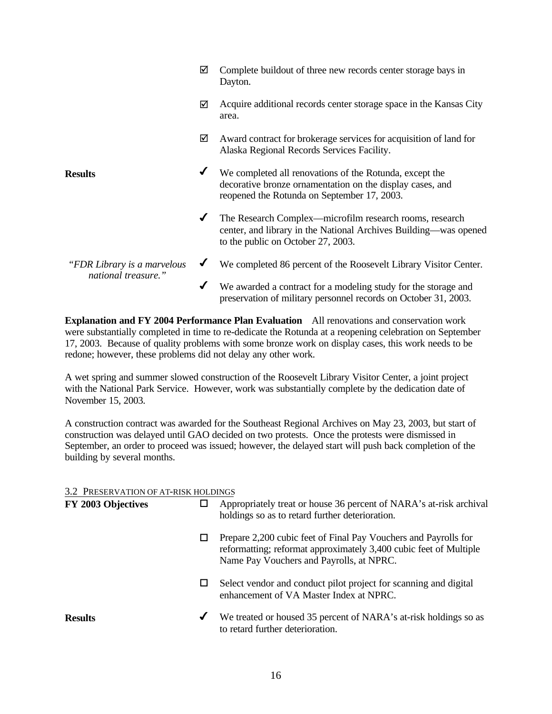|                                                     | ☑ | Complete buildout of three new records center storage bays in<br>Dayton.                                                                                            |
|-----------------------------------------------------|---|---------------------------------------------------------------------------------------------------------------------------------------------------------------------|
|                                                     | ☑ | Acquire additional records center storage space in the Kansas City<br>area.                                                                                         |
|                                                     | ☑ | Award contract for brokerage services for acquisition of land for<br>Alaska Regional Records Services Facility.                                                     |
| <b>Results</b>                                      | ✔ | We completed all renovations of the Rotunda, except the<br>decorative bronze ornamentation on the display cases, and<br>reopened the Rotunda on September 17, 2003. |
|                                                     | ✔ | The Research Complex—microfilm research rooms, research<br>center, and library in the National Archives Building—was opened<br>to the public on October 27, 2003.   |
| "FDR Library is a marvelous"<br>national treasure." | ✔ | We completed 86 percent of the Roosevelt Library Visitor Center.                                                                                                    |
|                                                     | ✔ | We awarded a contract for a modeling study for the storage and<br>preservation of military personnel records on October 31, 2003.                                   |

**Explanation and FY 2004 Performance Plan Evaluation** All renovations and conservation work were substantially completed in time to re-dedicate the Rotunda at a reopening celebration on September 17, 2003. Because of quality problems with some bronze work on display cases, this work needs to be redone; however, these problems did not delay any other work.

A wet spring and summer slowed construction of the Roosevelt Library Visitor Center, a joint project with the National Park Service. However, work was substantially complete by the dedication date of November 15, 2003.

A construction contract was awarded for the Southeast Regional Archives on May 23, 2003, but start of construction was delayed until GAO decided on two protests. Once the protests were dismissed in September, an order to proceed was issued; however, the delayed start will push back completion of the building by several months.

#### 3.2 PRESERVATION OF AT-RISK HOLDINGS

| FY 2003 Objectives |   | Appropriately treat or house 36 percent of NARA's at-risk archival<br>holdings so as to retard further deterioration.                                                            |
|--------------------|---|----------------------------------------------------------------------------------------------------------------------------------------------------------------------------------|
|                    | □ | Prepare 2,200 cubic feet of Final Pay Vouchers and Payrolls for<br>reformatting; reformat approximately 3,400 cubic feet of Multiple<br>Name Pay Vouchers and Payrolls, at NPRC. |
|                    | ப | Select vendor and conduct pilot project for scanning and digital<br>enhancement of VA Master Index at NPRC.                                                                      |
| <b>Results</b>     | ✔ | We treated or housed 35 percent of NARA's at-risk holdings so as<br>to retard further deterioration.                                                                             |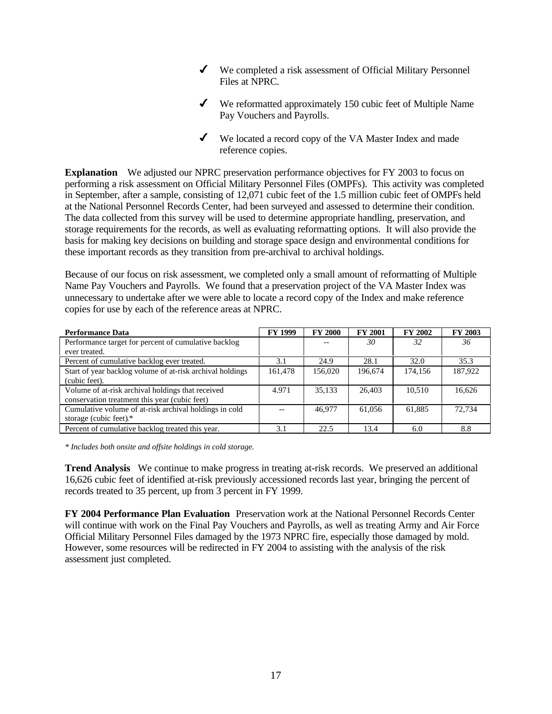- $\checkmark$  We completed a risk assessment of Official Military Personnel Files at NPRC.
- $\checkmark$  We reformatted approximately 150 cubic feet of Multiple Name Pay Vouchers and Payrolls.
- ◆ We located a record copy of the VA Master Index and made reference copies.

**Explanation** We adjusted our NPRC preservation performance objectives for FY 2003 to focus on performing a risk assessment on Official Military Personnel Files (OMPFs). This activity was completed in September, after a sample, consisting of 12,071 cubic feet of the 1.5 million cubic feet of OMPFs held at the National Personnel Records Center, had been surveyed and assessed to determine their condition. The data collected from this survey will be used to determine appropriate handling, preservation, and storage requirements for the records, as well as evaluating reformatting options. It will also provide the basis for making key decisions on building and storage space design and environmental conditions for these important records as they transition from pre-archival to archival holdings.

Because of our focus on risk assessment, we completed only a small amount of reformatting of Multiple Name Pay Vouchers and Payrolls. We found that a preservation project of the VA Master Index was unnecessary to undertake after we were able to locate a record copy of the Index and make reference copies for use by each of the reference areas at NPRC.

| <b>Performance Data</b>                                   | <b>FY 1999</b> | <b>FY 2000</b> | <b>FY 2001</b> | <b>FY 2002</b> | FY 2003 |
|-----------------------------------------------------------|----------------|----------------|----------------|----------------|---------|
| Performance target for percent of cumulative backlog      |                |                | 30             | 32             | 36      |
| ever treated.                                             |                |                |                |                |         |
| Percent of cumulative backlog ever treated.               | 3.1            | 24.9           | 28.1           | 32.0           | 35.3    |
| Start of year backlog volume of at-risk archival holdings | 161,478        | 156,020        | 196,674        | 174,156        | 187,922 |
| (cubic feet).                                             |                |                |                |                |         |
| Volume of at-risk archival holdings that received         | 4.971          | 35.133         | 26,403         | 10.510         | 16.626  |
| conservation treatment this year (cubic feet)             |                |                |                |                |         |
| Cumulative volume of at-risk archival holdings in cold    |                | 46.977         | 61,056         | 61,885         | 72.734  |
| storage (cubic feet).*                                    |                |                |                |                |         |
| Percent of cumulative backlog treated this year.          | 3.1            | 22.5           | 13.4           | 6.0            | 8.8     |

*\* Includes both onsite and offsite holdings in cold storage.* 

**Trend Analysis** We continue to make progress in treating at-risk records. We preserved an additional 16,626 cubic feet of identified at-risk previously accessioned records last year, bringing the percent of records treated to 35 percent, up from 3 percent in FY 1999.

**FY 2004 Performance Plan Evaluation** Preservation work at the National Personnel Records Center will continue with work on the Final Pay Vouchers and Payrolls, as well as treating Army and Air Force Official Military Personnel Files damaged by the 1973 NPRC fire, especially those damaged by mold. However, some resources will be redirected in FY 2004 to assisting with the analysis of the risk assessment just completed.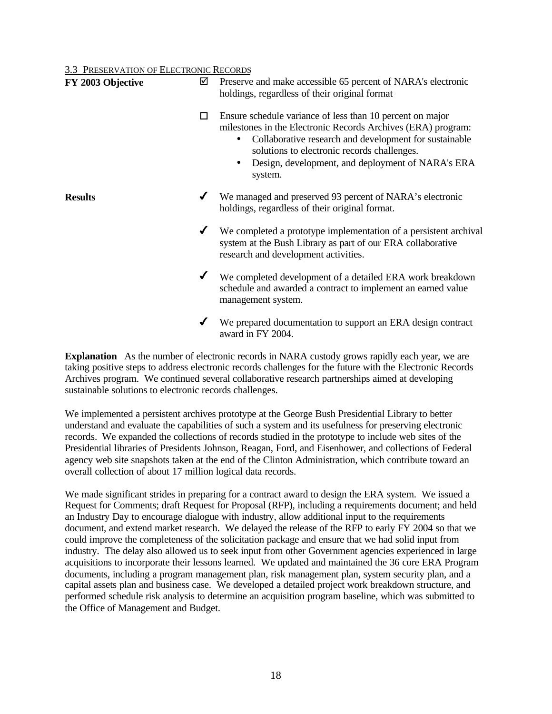3.3 PRESERVATION OF ELECTRONIC RECORDS

| FY 2003 Objective | ☑ | Preserve and make accessible 65 percent of NARA's electronic<br>holdings, regardless of their original format                                                                                                                                                                                      |
|-------------------|---|----------------------------------------------------------------------------------------------------------------------------------------------------------------------------------------------------------------------------------------------------------------------------------------------------|
|                   | □ | Ensure schedule variance of less than 10 percent on major<br>milestones in the Electronic Records Archives (ERA) program:<br>Collaborative research and development for sustainable<br>solutions to electronic records challenges.<br>Design, development, and deployment of NARA's ERA<br>system. |
| <b>Results</b>    |   | We managed and preserved 93 percent of NARA's electronic<br>holdings, regardless of their original format.                                                                                                                                                                                         |
|                   |   | We completed a prototype implementation of a persistent archival<br>system at the Bush Library as part of our ERA collaborative<br>research and development activities.                                                                                                                            |
|                   |   | We completed development of a detailed ERA work breakdown<br>schedule and awarded a contract to implement an earned value<br>management system.                                                                                                                                                    |
|                   |   | We prepared documentation to support an ERA design contract<br>award in FY 2004.                                                                                                                                                                                                                   |

**Explanation** As the number of electronic records in NARA custody grows rapidly each year, we are taking positive steps to address electronic records challenges for the future with the Electronic Records Archives program. We continued several collaborative research partnerships aimed at developing sustainable solutions to electronic records challenges.

We implemented a persistent archives prototype at the George Bush Presidential Library to better understand and evaluate the capabilities of such a system and its usefulness for preserving electronic records. We expanded the collections of records studied in the prototype to include web sites of the Presidential libraries of Presidents Johnson, Reagan, Ford, and Eisenhower, and collections of Federal agency web site snapshots taken at the end of the Clinton Administration, which contribute toward an overall collection of about 17 million logical data records.

We made significant strides in preparing for a contract award to design the ERA system. We issued a Request for Comments; draft Request for Proposal (RFP), including a requirements document; and held an Industry Day to encourage dialogue with industry, allow additional input to the requirements document, and extend market research. We delayed the release of the RFP to early FY 2004 so that we could improve the completeness of the solicitation package and ensure that we had solid input from industry. The delay also allowed us to seek input from other Government agencies experienced in large acquisitions to incorporate their lessons learned. We updated and maintained the 36 core ERA Program documents, including a program management plan, risk management plan, system security plan, and a capital assets plan and business case. We developed a detailed project work breakdown structure, and performed schedule risk analysis to determine an acquisition program baseline, which was submitted to the Office of Management and Budget.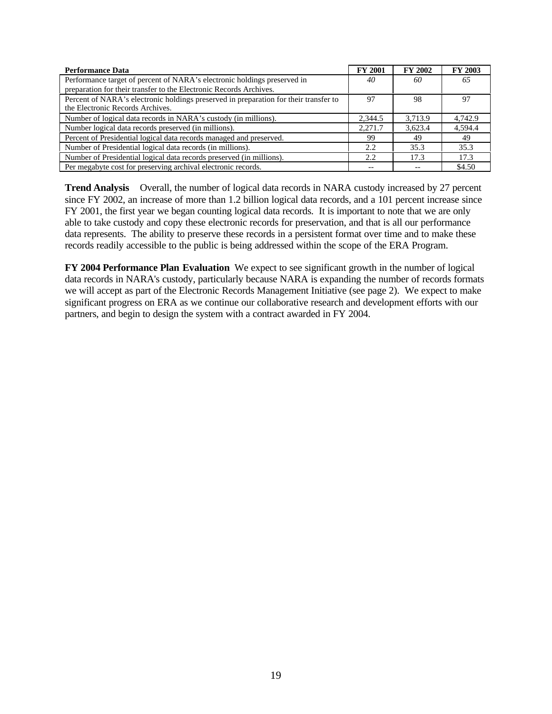| <b>Performance Data</b>                                                              | <b>FY 2001</b> | <b>FY 2002</b> | FY 2003 |
|--------------------------------------------------------------------------------------|----------------|----------------|---------|
| Performance target of percent of NARA's electronic holdings preserved in             | 40             | 60             | 65      |
| preparation for their transfer to the Electronic Records Archives.                   |                |                |         |
| Percent of NARA's electronic holdings preserved in preparation for their transfer to | 97             | 98             | 97      |
| the Electronic Records Archives.                                                     |                |                |         |
| Number of logical data records in NARA's custody (in millions).                      | 2.344.5        | 3.713.9        | 4.742.9 |
| Number logical data records preserved (in millions).                                 | 2.271.7        | 3.623.4        | 4.594.4 |
| Percent of Presidential logical data records managed and preserved.                  | 99             | 49             | 49      |
| Number of Presidential logical data records (in millions).                           | 2.2            | 35.3           | 35.3    |
| Number of Presidential logical data records preserved (in millions).                 | 2.2            | 17.3           | 17.3    |
| Per megabyte cost for preserving archival electronic records.                        |                |                | \$4.50  |

**Trend Analysis** Overall, the number of logical data records in NARA custody increased by 27 percent since FY 2002, an increase of more than 1.2 billion logical data records, and a 101 percent increase since FY 2001, the first year we began counting logical data records. It is important to note that we are only able to take custody and copy these electronic records for preservation, and that is all our performance data represents. The ability to preserve these records in a persistent format over time and to make these records readily accessible to the public is being addressed within the scope of the ERA Program.

**FY 2004 Performance Plan Evaluation** We expect to see significant growth in the number of logical data records in NARA's custody, particularly because NARA is expanding the number of records formats we will accept as part of the Electronic Records Management Initiative (see page 2). We expect to make significant progress on ERA as we continue our collaborative research and development efforts with our partners, and begin to design the system with a contract awarded in FY 2004.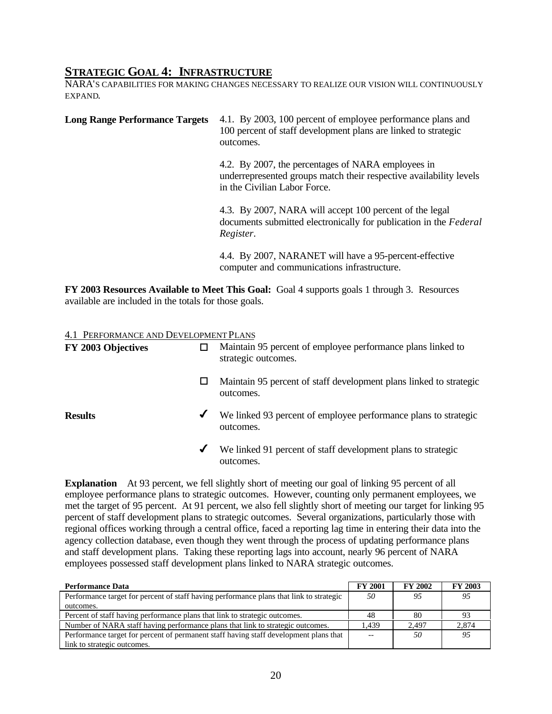#### **STRATEGIC GOAL 4: INFRASTRUCTURE**

NARA'S CAPABILITIES FOR MAKING CHANGES NECESSARY TO REALIZE OUR VISION WILL CONTINUOUSLY EXPAND.

| <b>Long Range Performance Targets</b> | 4.1. By 2003, 100 percent of employee performance plans and<br>100 percent of staff development plans are linked to strategic<br>outcomes.               |
|---------------------------------------|----------------------------------------------------------------------------------------------------------------------------------------------------------|
|                                       | 4.2. By 2007, the percentages of NARA employees in<br>underrepresented groups match their respective availability levels<br>in the Civilian Labor Force. |
|                                       | 4.3. By 2007, NARA will accept 100 percent of the legal<br>documents submitted electronically for publication in the Federal<br>Register.                |
|                                       | 4.4. By 2007, NARANET will have a 95-percent-effective<br>computer and communications infrastructure.                                                    |

**FY 2003 Resources Available to Meet This Goal:** Goal 4 supports goals 1 through 3. Resources available are included in the totals for those goals.

#### 4.1 PERFORMANCE AND DEVELOPMENT PLANS

| FY 2003 Objectives |   | Maintain 95 percent of employee performance plans linked to<br>strategic outcomes. |
|--------------------|---|------------------------------------------------------------------------------------|
|                    | ப | Maintain 95 percent of staff development plans linked to strategic<br>outcomes.    |
| <b>Results</b>     | ✔ | We linked 93 percent of employee performance plans to strategic<br>outcomes.       |
|                    | ✔ | We linked 91 percent of staff development plans to strategic<br>outcomes.          |

**Explanation** At 93 percent, we fell slightly short of meeting our goal of linking 95 percent of all employee performance plans to strategic outcomes. However, counting only permanent employees, we met the target of 95 percent. At 91 percent, we also fell slightly short of meeting our target for linking 95 percent of staff development plans to strategic outcomes. Several organizations, particularly those with regional offices working through a central office, faced a reporting lag time in entering their data into the agency collection database, even though they went through the process of updating performance plans and staff development plans. Taking these reporting lags into account, nearly 96 percent of NARA employees possessed staff development plans linked to NARA strategic outcomes.

| <b>Performance Data</b>                                                                 | <b>FY 2001</b>   | <b>FY 2002</b> | <b>FY 2003</b> |
|-----------------------------------------------------------------------------------------|------------------|----------------|----------------|
| Performance target for percent of staff having performance plans that link to strategic | 50               | 95             | 95             |
| outcomes.                                                                               |                  |                |                |
| Percent of staff having performance plans that link to strategic outcomes.              | 48               | 80             | 93             |
| Number of NARA staff having performance plans that link to strategic outcomes.          | L <sub>439</sub> | 2.497          | 2,874          |
| Performance target for percent of permanent staff having staff development plans that   |                  | 50             | 95             |
| link to strategic outcomes.                                                             |                  |                |                |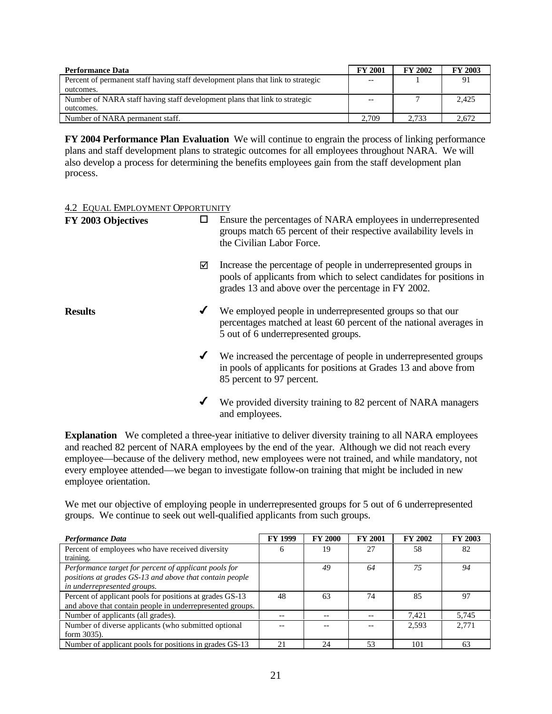| <b>Performance Data</b>                                                          | <b>FY 2001</b> | <b>FY 2002</b> | <b>FY 2003</b> |
|----------------------------------------------------------------------------------|----------------|----------------|----------------|
| Percent of permanent staff having staff development plans that link to strategic |                |                | 91             |
| outcomes.                                                                        |                |                |                |
| Number of NARA staff having staff development plans that link to strategic       |                |                | 2,425          |
| outcomes.                                                                        |                |                |                |
| Number of NARA permanent staff.                                                  | 2.709          | 2.733          | 2.672          |

**FY 2004 Performance Plan Evaluation** We will continue to engrain the process of linking performance plans and staff development plans to strategic outcomes for all employees throughout NARA. We will also develop a process for determining the benefits employees gain from the staff development plan process.

#### 4.2 EQUAL EMPLOYMENT OPPORTUNITY

| FY 2003 Objectives | □            | Ensure the percentages of NARA employees in underrepresented<br>groups match 65 percent of their respective availability levels in<br>the Civilian Labor Force.                                |
|--------------------|--------------|------------------------------------------------------------------------------------------------------------------------------------------------------------------------------------------------|
|                    | ☑            | Increase the percentage of people in underrepresented groups in<br>pools of applicants from which to select candidates for positions in<br>grades 13 and above over the percentage in FY 2002. |
| <b>Results</b>     | ✔            | We employed people in underrepresented groups so that our<br>percentages matched at least 60 percent of the national averages in<br>5 out of 6 underrepresented groups.                        |
|                    | $\checkmark$ | We increased the percentage of people in underrepresented groups<br>in pools of applicants for positions at Grades 13 and above from<br>85 percent to 97 percent.                              |
|                    | ✔            | We provided diversity training to 82 percent of NARA managers<br>and employees.                                                                                                                |

**Explanation** We completed a three-year initiative to deliver diversity training to all NARA employees and reached 82 percent of NARA employees by the end of the year. Although we did not reach every employee—because of the delivery method, new employees were not trained, and while mandatory, not every employee attended—we began to investigate follow-on training that might be included in new employee orientation.

We met our objective of employing people in underrepresented groups for 5 out of 6 underrepresented groups. We continue to seek out well-qualified applicants from such groups.

| Performance Data                                          | <b>FY 1999</b> | <b>FY 2000</b> | <b>FY 2001</b> | FY 2002 | <b>FY 2003</b> |
|-----------------------------------------------------------|----------------|----------------|----------------|---------|----------------|
| Percent of employees who have received diversity          | O              | 19             | 27             | 58      | 82             |
| training.                                                 |                |                |                |         |                |
| Performance target for percent of applicant pools for     |                | 49             | 64             | 75      | 94             |
| positions at grades GS-13 and above that contain people   |                |                |                |         |                |
| in underrepresented groups.                               |                |                |                |         |                |
| Percent of applicant pools for positions at grades GS-13  | 48             | 63             | 74             | 85      | 97             |
| and above that contain people in underrepresented groups. |                |                |                |         |                |
| Number of applicants (all grades).                        | --             | --             |                | 7.421   | 5.745          |
| Number of diverse applicants (who submitted optional      |                |                |                | 2,593   | 2.771          |
| form 3035).                                               |                |                |                |         |                |
| Number of applicant pools for positions in grades GS-13   | 21             | 24             | 53             | 101     | 63             |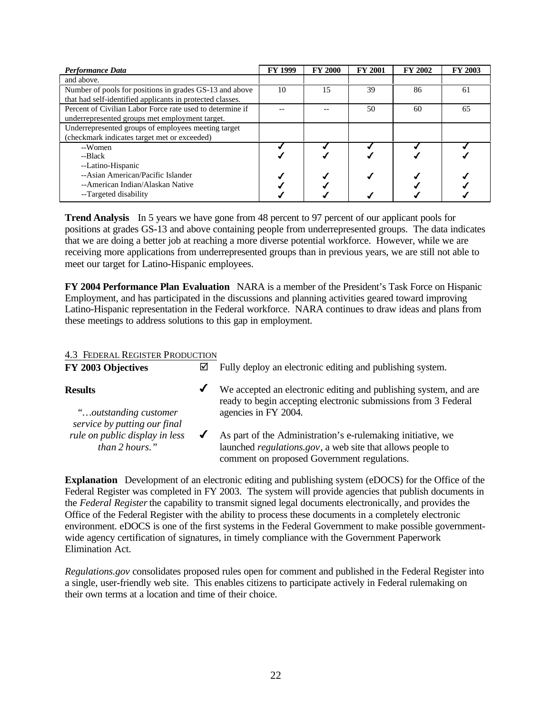| Performance Data                                          | <b>FY 1999</b> | <b>FY 2000</b> | <b>FY 2001</b> | <b>FY 2002</b> | FY 2003 |
|-----------------------------------------------------------|----------------|----------------|----------------|----------------|---------|
| and above.                                                |                |                |                |                |         |
| Number of pools for positions in grades GS-13 and above   | 10             | 15             | 39             | 86             | 61      |
| that had self-identified applicants in protected classes. |                |                |                |                |         |
| Percent of Civilian Labor Force rate used to determine if |                |                | 50             | 60             | 65      |
| underrepresented groups met employment target.            |                |                |                |                |         |
| Underrepresented groups of employees meeting target       |                |                |                |                |         |
| (checkmark indicates target met or exceeded)              |                |                |                |                |         |
| --Women                                                   |                |                |                |                |         |
| --Black                                                   |                |                |                |                |         |
| --Latino-Hispanic                                         |                |                |                |                |         |
| --Asian American/Pacific Islander                         |                |                |                |                |         |
| --American Indian/Alaskan Native                          |                |                |                |                |         |
| --Targeted disability                                     |                |                |                |                |         |

**Trend Analysis** In 5 years we have gone from 48 percent to 97 percent of our applicant pools for positions at grades GS-13 and above containing people from underrepresented groups. The data indicates that we are doing a better job at reaching a more diverse potential workforce. However, while we are receiving more applications from underrepresented groups than in previous years, we are still not able to meet our target for Latino-Hispanic employees.

**FY 2004 Performance Plan Evaluation** NARA is a member of the President's Task Force on Hispanic Employment, and has participated in the discussions and planning activities geared toward improving Latino-Hispanic representation in the Federal workforce. NARA continues to draw ideas and plans from these meetings to address solutions to this gap in employment.

#### 4.3 FEDERAL REGISTER PRODUCTION

| FY 2003 Objectives                                                               | ☑ | Fully deploy an electronic editing and publishing system.                                                                                                                         |
|----------------------------------------------------------------------------------|---|-----------------------------------------------------------------------------------------------------------------------------------------------------------------------------------|
| Results                                                                          | ✔ | We accepted an electronic editing and publishing system, and are<br>ready to begin accepting electronic submissions from 3 Federal                                                |
| "outstanding customer"                                                           |   | agencies in FY 2004.                                                                                                                                                              |
| service by putting our final<br>rule on public display in less<br>than 2 hours." |   | As part of the Administration's e-rule making initiative, we<br>launched <i>regulations.gov</i> , a web site that allows people to<br>comment on proposed Government regulations. |
|                                                                                  |   |                                                                                                                                                                                   |

**Explanation** Development of an electronic editing and publishing system (eDOCS) for the Office of the Federal Register was completed in FY 2003. The system will provide agencies that publish documents in the *Federal Register* the capability to transmit signed legal documents electronically, and provides the Office of the Federal Register with the ability to process these documents in a completely electronic environment. eDOCS is one of the first systems in the Federal Government to make possible governmentwide agency certification of signatures, in timely compliance with the Government Paperwork Elimination Act.

*Regulations.gov* consolidates proposed rules open for comment and published in the Federal Register into a single, user-friendly web site. This enables citizens to participate actively in Federal rulemaking on their own terms at a location and time of their choice.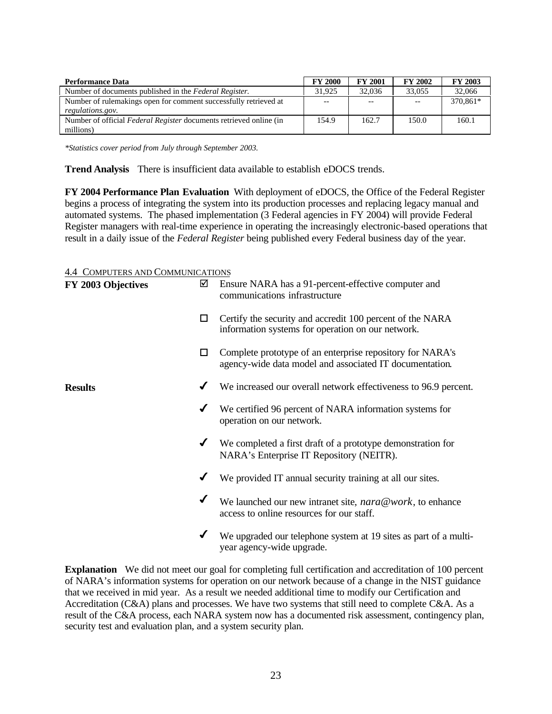| <b>Performance Data</b>                                            | <b>FY 2000</b> | <b>FY 2001</b> | <b>FY 2002</b>           | <b>FY 2003</b> |
|--------------------------------------------------------------------|----------------|----------------|--------------------------|----------------|
| Number of documents published in the Federal Register.             | 31.925         | 32,036         | 33,055                   | 32,066         |
| Number of rulemakings open for comment successfully retrieved at   | --             |                | $\overline{\phantom{m}}$ | 370.861*       |
| regulations.gov.                                                   |                |                |                          |                |
| Number of official Federal Register documents retrieved online (in | 154.9          | 162.7          | 150.0                    | 160.1          |
| millions)                                                          |                |                |                          |                |

*\*Statistics cover period from July through September 2003.* 

**Trend Analysis** There is insufficient data available to establish eDOCS trends.

**FY 2004 Performance Plan Evaluation** With deployment of eDOCS, the Office of the Federal Register begins a process of integrating the system into its production processes and replacing legacy manual and automated systems. The phased implementation (3 Federal agencies in FY 2004) will provide Federal Register managers with real-time experience in operating the increasingly electronic-based operations that result in a daily issue of the *Federal Register* being published every Federal business day of the year.

#### 4.4 COMPUTERS AND COMMUNICATIONS

| FY 2003 Objectives | ☑            | Ensure NARA has a 91-percent-effective computer and<br>communications infrastructure                                 |
|--------------------|--------------|----------------------------------------------------------------------------------------------------------------------|
|                    | □            | Certify the security and accredit 100 percent of the NARA<br>information systems for operation on our network.       |
|                    | □            | Complete prototype of an enterprise repository for NARA's<br>agency-wide data model and associated IT documentation. |
| <b>Results</b>     |              | We increased our overall network effectiveness to 96.9 percent.                                                      |
|                    | ✔            | We certified 96 percent of NARA information systems for<br>operation on our network.                                 |
|                    | $\checkmark$ | We completed a first draft of a prototype demonstration for<br>NARA's Enterprise IT Repository (NEITR).              |
|                    | ✔            | We provided IT annual security training at all our sites.                                                            |
|                    | ✔            | We launched our new intranet site, nara@work, to enhance<br>access to online resources for our staff.                |
|                    | ✔            | We upgraded our telephone system at 19 sites as part of a multi-<br>year agency-wide upgrade.                        |

**Explanation** We did not meet our goal for completing full certification and accreditation of 100 percent of NARA's information systems for operation on our network because of a change in the NIST guidance that we received in mid year. As a result we needed additional time to modify our Certification and Accreditation (C&A) plans and processes. We have two systems that still need to complete C&A. As a result of the C&A process, each NARA system now has a documented risk assessment, contingency plan, security test and evaluation plan, and a system security plan.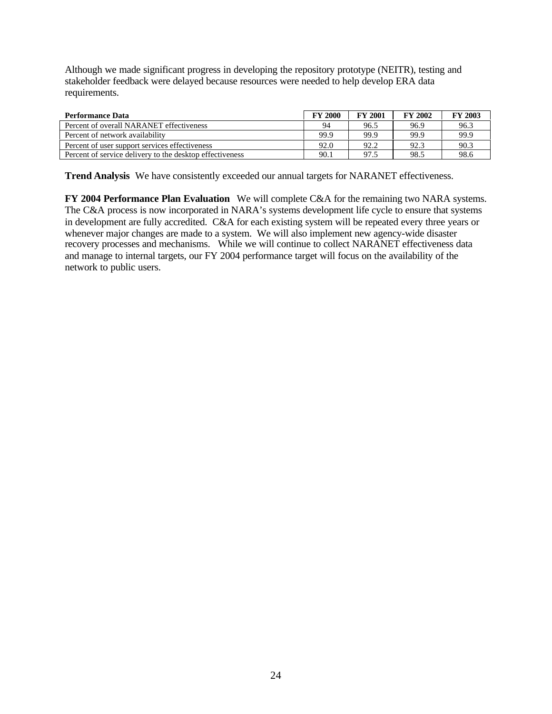Although we made significant progress in developing the repository prototype (NEITR), testing and stakeholder feedback were delayed because resources were needed to help develop ERA data requirements.

| <b>Performance Data</b>                                  | <b>FY 2000</b> | <b>FY 2001</b> | <b>FY 2002</b> | <b>FY 2003</b> |
|----------------------------------------------------------|----------------|----------------|----------------|----------------|
| Percent of overall NARANET effectiveness                 | 94             | 96.5           | 96.9           | 96.3           |
| Percent of network availability                          | 99.9           | 99.9           | 99.9           | 99.9           |
| Percent of user support services effectiveness           | 92.0           | 92.2           | 92.3           | 90.3           |
| Percent of service delivery to the desktop effectiveness | 90.1           | 97.5           | 98.5           | 98.6           |

**Trend Analysis** We have consistently exceeded our annual targets for NARANET effectiveness.

**FY 2004 Performance Plan Evaluation** We will complete C&A for the remaining two NARA systems. The C&A process is now incorporated in NARA's systems development life cycle to ensure that systems in development are fully accredited. C&A for each existing system will be repeated every three years or whenever major changes are made to a system. We will also implement new agency-wide disaster recovery processes and mechanisms. While we will continue to collect NARANET effectiveness data and manage to internal targets, our FY 2004 performance target will focus on the availability of the network to public users.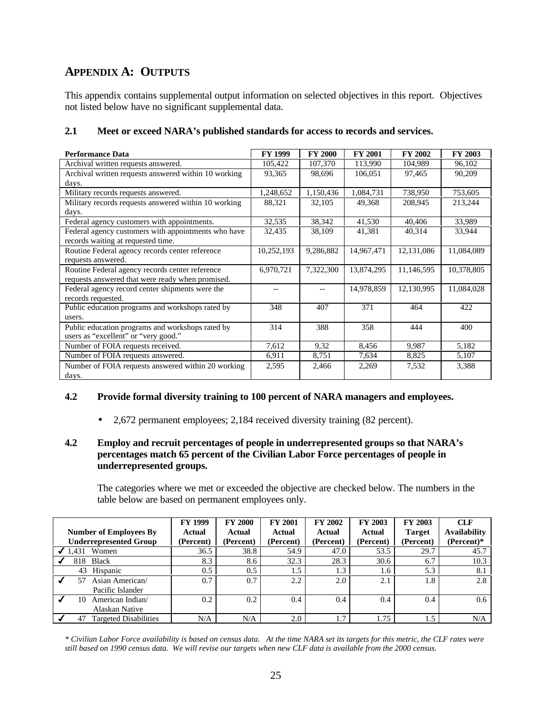#### **APPENDIX A: OUTPUTS**

This appendix contains supplemental output information on selected objectives in this report. Objectives not listed below have no significant supplemental data.

| <b>Performance Data</b>                              | <b>FY 1999</b> | <b>FY 2000</b> | <b>FY 2001</b> | <b>FY 2002</b> | <b>FY 2003</b> |
|------------------------------------------------------|----------------|----------------|----------------|----------------|----------------|
| Archival written requests answered.                  | 105,422        | 107,370        | 113,990        | 104,989        | 96,102         |
| Archival written requests answered within 10 working | 93,365         | 98,696         | 106,051        | 97,465         | 90,209         |
| days.                                                |                |                |                |                |                |
| Military records requests answered.                  | 1,248,652      | 1,150,436      | 1,084,731      | 738,950        | 753,605        |
| Military records requests answered within 10 working | 88,321         | 32,105         | 49,368         | 208,945        | 213,244        |
| days.                                                |                |                |                |                |                |
| Federal agency customers with appointments.          | 32,535         | 38,342         | 41,530         | 40,406         | 33,989         |
| Federal agency customers with appointments who have  | 32,435         | 38,109         | 41,381         | 40,314         | 33,944         |
| records waiting at requested time.                   |                |                |                |                |                |
| Routine Federal agency records center reference      | 10,252,193     | 9,286,882      | 14,967,471     | 12,131,086     | 11,084,089     |
| requests answered.                                   |                |                |                |                |                |
| Routine Federal agency records center reference      | 6,970,721      | 7,322,300      | 13,874,295     | 11,146,595     | 10,378,805     |
| requests answered that were ready when promised.     |                |                |                |                |                |
| Federal agency record center shipments were the      |                |                | 14,978,859     | 12,130,995     | 11,084,028     |
| records requested.                                   |                |                |                |                |                |
| Public education programs and workshops rated by     | 348            | 407            | 371            | 464            | 422            |
| users.                                               |                |                |                |                |                |
| Public education programs and workshops rated by     | 314            | 388            | 358            | 444            | 400            |
| users as "excellent" or "very good."                 |                |                |                |                |                |
| Number of FOIA requests received.                    | 7,612          | 9,32           | 8,456          | 9,987          | 5,182          |
| Number of FOIA requests answered.                    | 6,911          | 8,751          | 7,634          | 8,825          | 5,107          |
| Number of FOIA requests answered within 20 working   | 2,595          | 2,466          | 2,269          | 7,532          | 3,388          |
| days.                                                |                |                |                |                |                |

#### **2.1 Meet or exceed NARA's published standards for access to records and services.**

#### **4.2 Provide formal diversity training to 100 percent of NARA managers and employees.**

• 2,672 permanent employees; 2,184 received diversity training (82 percent).

#### **4.2 Employ and recruit percentages of people in underrepresented groups so that NARA's percentages match 65 percent of the Civilian Labor Force percentages of people in underrepresented groups.**

The categories where we met or exceeded the objective are checked below. The numbers in the table below are based on permanent employees only.

|                                    | <b>FY 1999</b> | <b>FY 2000</b> | <b>FY 2001</b> | <b>FY 2002</b> | FY 2003   | FY 2003       | <b>CLF</b>          |
|------------------------------------|----------------|----------------|----------------|----------------|-----------|---------------|---------------------|
| <b>Number of Employees By</b>      | Actual         | Actual         | Actual         | Actual         | Actual    | <b>Target</b> | <b>Availability</b> |
| <b>Underrepresented Group</b>      | (Percent)      | (Percent)      | (Percent)      | (Percent)      | (Percent) | (Percent)     | (Percent)*          |
| .431<br>Women                      | 36.5           | 38.8           | 54.9           | 47.0           | 53.5      | 29.7          | 45.7                |
| <b>Black</b><br>818                | 8.3            | 8.6            | 32.3           | 28.3           | 30.6      | 6.7           | 10.3                |
| Hispanic<br>43                     | $0.5^{\circ}$  | 0.5            | 1.5            | 1.3            | 1.6       | 5.3           | 8.1                 |
| Asian American/<br>57              | 0.7            | 0.7            | 2.2            | 2.0            | 2.1       | 1.8           | 2.8                 |
| Pacific Islander                   |                |                |                |                |           |               |                     |
| American Indian/                   | 0.2            | 0.2            | 0.4            | 0.4            | 0.4       | 0.4           | 0.6 <sub>1</sub>    |
| Alaskan Native                     |                |                |                |                |           |               |                     |
| <b>Targeted Disabilities</b><br>47 | N/A            | N/A            | 2.0            | 1.7            | 1.75      | 1.5           | N/A                 |

*\* Civilian Labor Force availability is based on census data. At the time NARA set its targets for this metric, the CLF rates were still based on 1990 census data. We will revise our targets when new CLF data is available from the 2000 census.*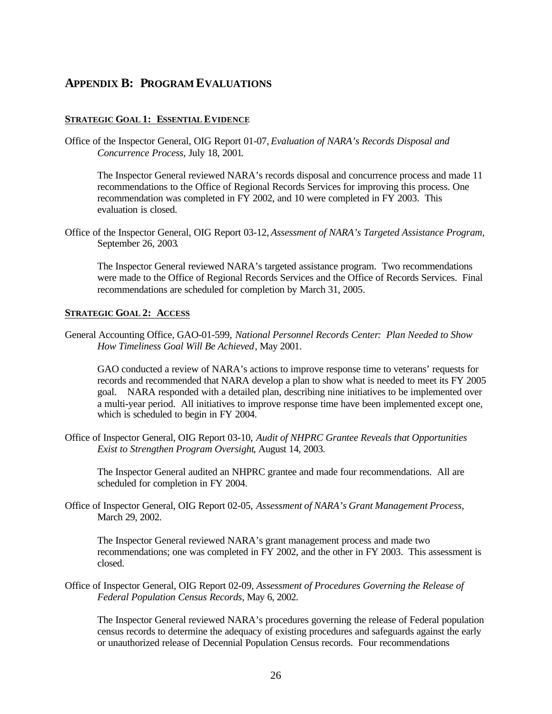#### **APPENDIX B: PROGRAM EVALUATIONS**

#### **STRATEGIC GOAL 1: ESSENTIAL EVIDENCE**

Office of the Inspector General, OIG Report 01-07, *Evaluation of NARA's Records Disposal and Concurrence Process,* July 18, 2001*.* 

The Inspector General reviewed NARA's records disposal and concurrence process and made 11 recommendations to the Office of Regional Records Services for improving this process. One recommendation was completed in FY 2002, and 10 were completed in FY 2003. This evaluation is closed.

Office of the Inspector General, OIG Report 03-12, *Assessment of NARA's Targeted Assistance Program,*  September 26, 2003*.* 

The Inspector General reviewed NARA's targeted assistance program. Two recommendations were made to the Office of Regional Records Services and the Office of Records Services. Final recommendations are scheduled for completion by March 31, 2005.

#### **STRATEGIC GOAL 2: ACCESS**

General Accounting Office, GAO-01-599, *National Personnel Records Center: Plan Needed to Show How Timeliness Goal Will Be Achieved*, May 2001.

GAO conducted a review of NARA's actions to improve response time to veterans' requests for records and recommended that NARA develop a plan to show what is needed to meet its FY 2005 goal. NARA responded with a detailed plan, describing nine initiatives to be implemented over a multi-year period. All initiatives to improve response time have been implemented except one, which is scheduled to begin in FY 2004.

Office of Inspector General, OIG Report 03-10, *Audit of NHPRC Grantee Reveals that Opportunities Exist to Strengthen Program Oversight*, August 14, 2003.

The Inspector General audited an NHPRC grantee and made four recommendations. All are scheduled for completion in FY 2004.

Office of Inspector General, OIG Report 02-05, *Assessment of NARA's Grant Management Process*, March 29, 2002.

The Inspector General reviewed NARA's grant management process and made two recommendations; one was completed in FY 2002, and the other in FY 2003. This assessment is closed.

Office of Inspector General, OIG Report 02-09*, Assessment of Procedures Governing the Release of Federal Population Census Records*, May 6, 2002.

The Inspector General reviewed NARA's procedures governing the release of Federal population census records to determine the adequacy of existing procedures and safeguards against the early or unauthorized release of Decennial Population Census records. Four recommendations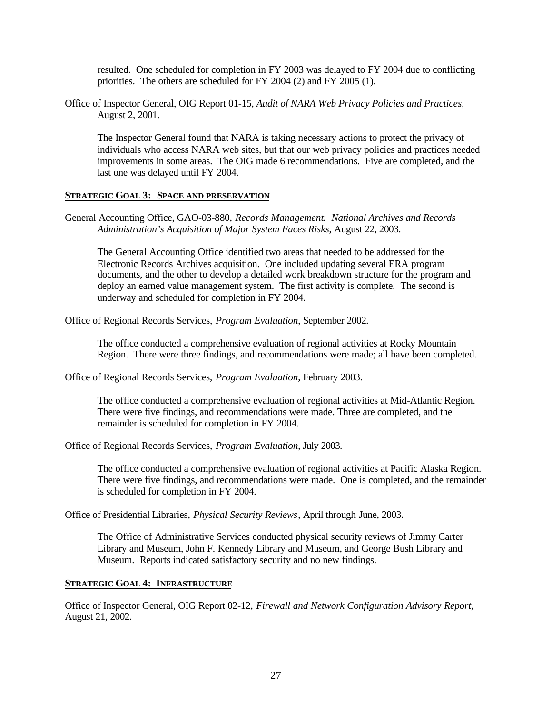resulted. One scheduled for completion in FY 2003 was delayed to FY 2004 due to conflicting priorities. The others are scheduled for FY 2004 (2) and FY 2005 (1).

Office of Inspector General, OIG Report 01-15*, Audit of NARA Web Privacy Policies and Practices,*  August 2, 2001.

The Inspector General found that NARA is taking necessary actions to protect the privacy of individuals who access NARA web sites, but that our web privacy policies and practices needed improvements in some areas. The OIG made 6 recommendations. Five are completed, and the last one was delayed until FY 2004.

#### **STRATEGIC GOAL 3: SPACE AND PRESERVATION**

General Accounting Office, GAO-03-880, *Records Management: National Archives and Records Administration's Acquisition of Major System Faces Risks*, August 22, 2003.

The General Accounting Office identified two areas that needed to be addressed for the Electronic Records Archives acquisition. One included updating several ERA program documents, and the other to develop a detailed work breakdown structure for the program and deploy an earned value management system. The first activity is complete. The second is underway and scheduled for completion in FY 2004.

Office of Regional Records Services, *Program Evaluation*, September 2002.

The office conducted a comprehensive evaluation of regional activities at Rocky Mountain Region. There were three findings, and recommendations were made; all have been completed.

Office of Regional Records Services, *Program Evaluation*, February 2003.

The office conducted a comprehensive evaluation of regional activities at Mid-Atlantic Region. There were five findings, and recommendations were made. Three are completed, and the remainder is scheduled for completion in FY 2004.

Office of Regional Records Services, *Program Evaluation*, July 2003.

The office conducted a comprehensive evaluation of regional activities at Pacific Alaska Region. There were five findings, and recommendations were made. One is completed, and the remainder is scheduled for completion in FY 2004.

Office of Presidential Libraries, *Physical Security Reviews*, April through June, 2003.

The Office of Administrative Services conducted physical security reviews of Jimmy Carter Library and Museum, John F. Kennedy Library and Museum, and George Bush Library and Museum. Reports indicated satisfactory security and no new findings.

#### **STRATEGIC GOAL 4: INFRASTRUCTURE**

Office of Inspector General, OIG Report 02-12, *Firewall and Network Configuration Advisory Report*, August 21, 2002.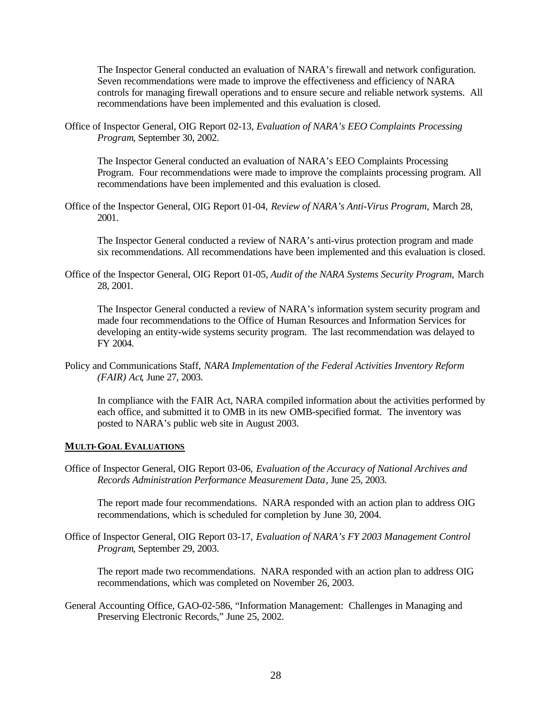The Inspector General conducted an evaluation of NARA's firewall and network configuration. Seven recommendations were made to improve the effectiveness and efficiency of NARA controls for managing firewall operations and to ensure secure and reliable network systems. All recommendations have been implemented and this evaluation is closed.

Office of Inspector General, OIG Report 02-13*, Evaluation of NARA's EEO Complaints Processing Program*, September 30, 2002.

The Inspector General conducted an evaluation of NARA's EEO Complaints Processing Program. Four recommendations were made to improve the complaints processing program. All recommendations have been implemented and this evaluation is closed.

Office of the Inspector General, OIG Report 01-04, *Review of NARA's Anti-Virus Program,* March 28, 2001.

The Inspector General conducted a review of NARA's anti-virus protection program and made six recommendations. All recommendations have been implemented and this evaluation is closed.

Office of the Inspector General, OIG Report 01-05*, Audit of the NARA Systems Security Program,* March 28, 2001.

The Inspector General conducted a review of NARA's information system security program and made four recommendations to the Office of Human Resources and Information Services for developing an entity-wide systems security program. The last recommendation was delayed to FY 2004.

Policy and Communications Staff, *NARA Implementation of the Federal Activities Inventory Reform (FAIR) Act,* June 27, 2003.

In compliance with the FAIR Act, NARA compiled information about the activities performed by each office, and submitted it to OMB in its new OMB-specified format. The inventory was posted to NARA's public web site in August 2003.

#### **MULTI-GOAL EVALUATIONS**

Office of Inspector General, OIG Report 03-06, *Evaluation of the Accuracy of National Archives and Records Administration Performance Measurement Data*, June 25, 2003.

The report made four recommendations. NARA responded with an action plan to address OIG recommendations, which is scheduled for completion by June 30, 2004.

Office of Inspector General, OIG Report 03-17, *Evaluation of NARA's FY 2003 Management Control Program*, September 29, 2003.

The report made two recommendations. NARA responded with an action plan to address OIG recommendations, which was completed on November 26, 2003.

General Accounting Office, GAO-02-586, "Information Management: Challenges in Managing and Preserving Electronic Records," June 25, 2002.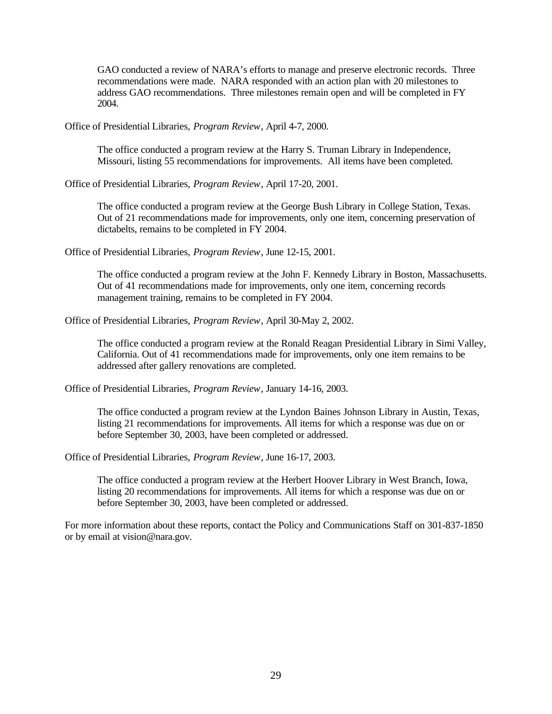GAO conducted a review of NARA's efforts to manage and preserve electronic records. Three recommendations were made. NARA responded with an action plan with 20 milestones to address GAO recommendations. Three milestones remain open and will be completed in FY 2004.

Office of Presidential Libraries, *Program Review*, April 4-7, 2000.

The office conducted a program review at the Harry S. Truman Library in Independence, Missouri, listing 55 recommendations for improvements. All items have been completed.

Office of Presidential Libraries, *Program Review*, April 17-20, 2001.

The office conducted a program review at the George Bush Library in College Station, Texas. Out of 21 recommendations made for improvements, only one item, concerning preservation of dictabelts, remains to be completed in FY 2004.

Office of Presidential Libraries, *Program Review*, June 12-15, 2001.

The office conducted a program review at the John F. Kennedy Library in Boston, Massachusetts. Out of 41 recommendations made for improvements, only one item, concerning records management training, remains to be completed in FY 2004.

Office of Presidential Libraries, *Program Review*, April 30-May 2, 2002.

The office conducted a program review at the Ronald Reagan Presidential Library in Simi Valley, California. Out of 41 recommendations made for improvements, only one item remains to be addressed after gallery renovations are completed.

Office of Presidential Libraries, *Program Review*, January 14-16, 2003.

The office conducted a program review at the Lyndon Baines Johnson Library in Austin, Texas, listing 21 recommendations for improvements. All items for which a response was due on or before September 30, 2003, have been completed or addressed.

Office of Presidential Libraries, *Program Review*, June 16-17, 2003.

The office conducted a program review at the Herbert Hoover Library in West Branch, Iowa, listing 20 recommendations for improvements. All items for which a response was due on or before September 30, 2003, have been completed or addressed.

For more information about these reports, contact the Policy and Communications Staff on 301-837-1850 or by email at vision@nara.gov.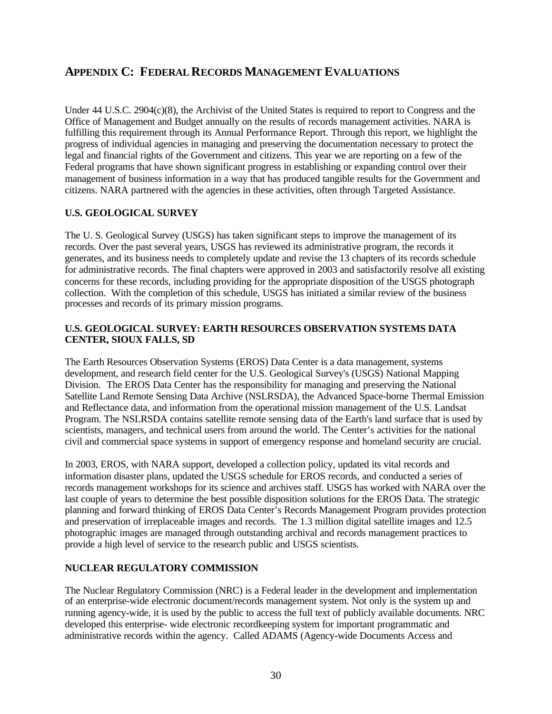#### **APPENDIX C: FEDERAL RECORDS MANAGEMENT EVALUATIONS**

Under 44 U.S.C. 2904(c)(8), the Archivist of the United States is required to report to Congress and the Office of Management and Budget annually on the results of records management activities. NARA is fulfilling this requirement through its Annual Performance Report. Through this report, we highlight the progress of individual agencies in managing and preserving the documentation necessary to protect the legal and financial rights of the Government and citizens. This year we are reporting on a few of the Federal programs that have shown significant progress in establishing or expanding control over their management of business information in a way that has produced tangible results for the Government and citizens. NARA partnered with the agencies in these activities, often through Targeted Assistance.

#### **U.S. GEOLOGICAL SURVEY**

The U. S. Geological Survey (USGS) has taken significant steps to improve the management of its records. Over the past several years, USGS has reviewed its administrative program, the records it generates, and its business needs to completely update and revise the 13 chapters of its records schedule for administrative records. The final chapters were approved in 2003 and satisfactorily resolve all existing concerns for these records, including providing for the appropriate disposition of the USGS photograph collection. With the completion of this schedule, USGS has initiated a similar review of the business processes and records of its primary mission programs.

#### **U.S. GEOLOGICAL SURVEY: EARTH RESOURCES OBSERVATION SYSTEMS DATA CENTER, SIOUX FALLS, SD**

The Earth Resources Observation Systems (EROS) Data Center is a data management, systems development, and research field center for the U.S. Geological Survey's (USGS) National Mapping Division. The EROS Data Center has the responsibility for managing and preserving the National Satellite Land Remote Sensing Data Archive (NSLRSDA), the Advanced Space-borne Thermal Emission and Reflectance data, and information from the operational mission management of the U.S. Landsat Program. The NSLRSDA contains satellite remote sensing data of the Earth's land surface that is used by scientists, managers, and technical users from around the world. The Center's activities for the national civil and commercial space systems in support of emergency response and homeland security are crucial.

In 2003, EROS, with NARA support, developed a collection policy, updated its vital records and information disaster plans, updated the USGS schedule for EROS records, and conducted a series of records management workshops for its science and archives staff. USGS has worked with NARA over the last couple of years to determine the best possible disposition solutions for the EROS Data. The strategic planning and forward thinking of EROS Data Center's Records Management Program provides protection and preservation of irreplaceable images and records. The 1.3 million digital satellite images and 12.5 photographic images are managed through outstanding archival and records management practices to provide a high level of service to the research public and USGS scientists.

#### **NUCLEAR REGULATORY COMMISSION**

The Nuclear Regulatory Commission (NRC) is a Federal leader in the development and implementation of an enterprise-wide electronic document/records management system. Not only is the system up and running agency-wide, it is used by the public to access the full text of publicly available documents. NRC developed this enterprise- wide electronic recordkeeping system for important programmatic and administrative records within the agency. Called ADAMS (Agency-wide Documents Access and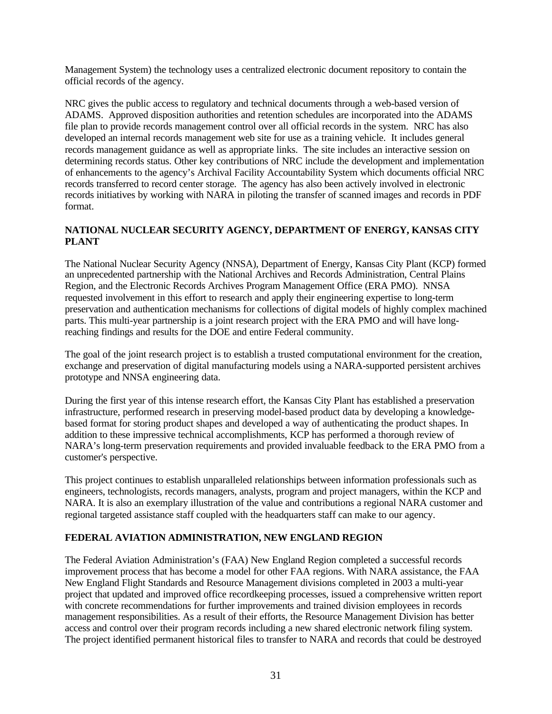Management System) the technology uses a centralized electronic document repository to contain the official records of the agency.

NRC gives the public access to regulatory and technical documents through a web-based version of ADAMS. Approved disposition authorities and retention schedules are incorporated into the ADAMS file plan to provide records management control over all official records in the system. NRC has also developed an internal records management web site for use as a training vehicle. It includes general records management guidance as well as appropriate links. The site includes an interactive session on determining records status. Other key contributions of NRC include the development and implementation of enhancements to the agency's Archival Facility Accountability System which documents official NRC records transferred to record center storage. The agency has also been actively involved in electronic records initiatives by working with NARA in piloting the transfer of scanned images and records in PDF format.

#### **NATIONAL NUCLEAR SECURITY AGENCY, DEPARTMENT OF ENERGY, KANSAS CITY PLANT**

The National Nuclear Security Agency (NNSA), Department of Energy, Kansas City Plant (KCP) formed an unprecedented partnership with the National Archives and Records Administration, Central Plains Region, and the Electronic Records Archives Program Management Office (ERA PMO). NNSA requested involvement in this effort to research and apply their engineering expertise to long-term preservation and authentication mechanisms for collections of digital models of highly complex machined parts. This multi-year partnership is a joint research project with the ERA PMO and will have longreaching findings and results for the DOE and entire Federal community.

The goal of the joint research project is to establish a trusted computational environment for the creation, exchange and preservation of digital manufacturing models using a NARA-supported persistent archives prototype and NNSA engineering data.

During the first year of this intense research effort, the Kansas City Plant has established a preservation infrastructure, performed research in preserving model-based product data by developing a knowledgebased format for storing product shapes and developed a way of authenticating the product shapes. In addition to these impressive technical accomplishments, KCP has performed a thorough review of NARA's long-term preservation requirements and provided invaluable feedback to the ERA PMO from a customer's perspective.

This project continues to establish unparalleled relationships between information professionals such as engineers, technologists, records managers, analysts, program and project managers, within the KCP and NARA. It is also an exemplary illustration of the value and contributions a regional NARA customer and regional targeted assistance staff coupled with the headquarters staff can make to our agency.

#### **FEDERAL AVIATION ADMINISTRATION, NEW ENGLAND REGION**

The Federal Aviation Administration's (FAA) New England Region completed a successful records improvement process that has become a model for other FAA regions. With NARA assistance, the FAA New England Flight Standards and Resource Management divisions completed in 2003 a multi-year project that updated and improved office recordkeeping processes, issued a comprehensive written report with concrete recommendations for further improvements and trained division employees in records management responsibilities. As a result of their efforts, the Resource Management Division has better access and control over their program records including a new shared electronic network filing system. The project identified permanent historical files to transfer to NARA and records that could be destroyed